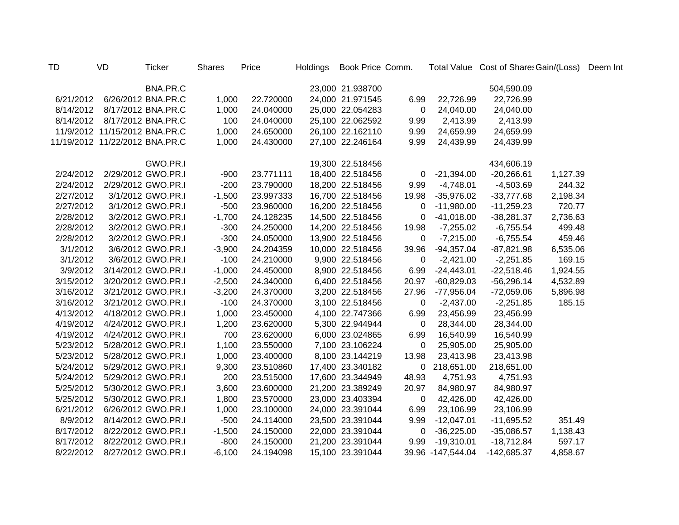| TD        | VD                             | <b>Ticker</b>      | <b>Shares</b> | Price     | <b>Holdings</b> | Book Price Comm. |             |                   | Total Value Cost of Share: Gain/(Loss) |          | Deem Int |
|-----------|--------------------------------|--------------------|---------------|-----------|-----------------|------------------|-------------|-------------------|----------------------------------------|----------|----------|
|           |                                | BNA.PR.C           |               |           |                 | 23,000 21.938700 |             |                   | 504,590.09                             |          |          |
| 6/21/2012 |                                | 6/26/2012 BNA.PR.C | 1,000         | 22.720000 |                 | 24,000 21.971545 | 6.99        | 22,726.99         | 22,726.99                              |          |          |
| 8/14/2012 |                                | 8/17/2012 BNA.PR.C | 1,000         | 24.040000 |                 | 25,000 22.054283 | $\mathbf 0$ | 24,040.00         | 24,040.00                              |          |          |
|           | 8/14/2012  8/17/2012  BNA.PR.C |                    | 100           | 24.040000 |                 | 25,100 22.062592 | 9.99        | 2,413.99          | 2,413.99                               |          |          |
|           | 11/9/2012 11/15/2012 BNA.PR.C  |                    | 1,000         | 24.650000 |                 | 26,100 22.162110 | 9.99        | 24,659.99         | 24,659.99                              |          |          |
|           | 11/19/2012 11/22/2012 BNA.PR.C |                    | 1,000         | 24.430000 |                 | 27,100 22.246164 | 9.99        | 24,439.99         | 24,439.99                              |          |          |
|           |                                | GWO.PR.I           |               |           |                 | 19,300 22.518456 |             |                   | 434,606.19                             |          |          |
| 2/24/2012 |                                | 2/29/2012 GWO.PR.I | $-900$        | 23.771111 |                 | 18,400 22.518456 | 0           | $-21,394.00$      | $-20,266.61$                           | 1,127.39 |          |
| 2/24/2012 |                                | 2/29/2012 GWO.PR.I | $-200$        | 23.790000 |                 | 18,200 22.518456 | 9.99        | $-4,748.01$       | $-4,503.69$                            | 244.32   |          |
| 2/27/2012 |                                | 3/1/2012 GWO.PR.I  | $-1,500$      | 23.997333 |                 | 16,700 22.518456 | 19.98       | $-35,976.02$      | $-33,777.68$                           | 2,198.34 |          |
| 2/27/2012 |                                | 3/1/2012 GWO.PR.I  | $-500$        | 23.960000 |                 | 16,200 22.518456 | 0           | $-11,980.00$      | $-11,259.23$                           | 720.77   |          |
| 2/28/2012 |                                | 3/2/2012 GWO.PR.I  | $-1,700$      | 24.128235 |                 | 14,500 22.518456 | $\mathbf 0$ | $-41,018.00$      | $-38,281.37$                           | 2,736.63 |          |
| 2/28/2012 |                                | 3/2/2012 GWO.PR.I  | $-300$        | 24.250000 |                 | 14,200 22.518456 | 19.98       | $-7,255.02$       | $-6,755.54$                            | 499.48   |          |
| 2/28/2012 |                                | 3/2/2012 GWO.PR.I  | $-300$        | 24.050000 |                 | 13,900 22.518456 | 0           | $-7,215.00$       | $-6,755.54$                            | 459.46   |          |
| 3/1/2012  |                                | 3/6/2012 GWO.PR.I  | $-3,900$      | 24.204359 |                 | 10,000 22.518456 | 39.96       | $-94,357.04$      | $-87,821.98$                           | 6,535.06 |          |
| 3/1/2012  |                                | 3/6/2012 GWO.PR.I  | $-100$        | 24.210000 |                 | 9,900 22.518456  | $\mathbf 0$ | $-2,421.00$       | $-2,251.85$                            | 169.15   |          |
| 3/9/2012  |                                | 3/14/2012 GWO.PR.I | $-1,000$      | 24.450000 |                 | 8,900 22.518456  | 6.99        | $-24,443.01$      | $-22,518.46$                           | 1,924.55 |          |
| 3/15/2012 |                                | 3/20/2012 GWO.PR.I | $-2,500$      | 24.340000 |                 | 6,400 22.518456  | 20.97       | $-60,829.03$      | $-56,296.14$                           | 4,532.89 |          |
| 3/16/2012 |                                | 3/21/2012 GWO.PR.I | $-3,200$      | 24.370000 |                 | 3,200 22.518456  | 27.96       | $-77,956.04$      | $-72,059.06$                           | 5,896.98 |          |
| 3/16/2012 |                                | 3/21/2012 GWO.PR.I | $-100$        | 24.370000 |                 | 3,100 22.518456  | $\mathbf 0$ | $-2,437.00$       | $-2,251.85$                            | 185.15   |          |
| 4/13/2012 |                                | 4/18/2012 GWO.PR.I | 1,000         | 23.450000 |                 | 4,100 22.747366  | 6.99        | 23,456.99         | 23,456.99                              |          |          |
| 4/19/2012 |                                | 4/24/2012 GWO.PR.I | 1,200         | 23.620000 |                 | 5,300 22.944944  | 0           | 28,344.00         | 28,344.00                              |          |          |
| 4/19/2012 |                                | 4/24/2012 GWO.PR.I | 700           | 23.620000 |                 | 6,000 23.024865  | 6.99        | 16,540.99         | 16,540.99                              |          |          |
| 5/23/2012 |                                | 5/28/2012 GWO.PR.I | 1,100         | 23.550000 |                 | 7,100 23.106224  | $\mathbf 0$ | 25,905.00         | 25,905.00                              |          |          |
| 5/23/2012 |                                | 5/28/2012 GWO.PR.I | 1,000         | 23.400000 |                 | 8,100 23.144219  | 13.98       | 23,413.98         | 23,413.98                              |          |          |
| 5/24/2012 |                                | 5/29/2012 GWO.PR.I | 9,300         | 23.510860 |                 | 17,400 23.340182 | 0           | 218,651.00        | 218,651.00                             |          |          |
| 5/24/2012 |                                | 5/29/2012 GWO.PR.I | 200           | 23.515000 |                 | 17,600 23.344949 | 48.93       | 4,751.93          | 4,751.93                               |          |          |
| 5/25/2012 |                                | 5/30/2012 GWO.PR.I | 3,600         | 23.600000 |                 | 21,200 23.389249 | 20.97       | 84,980.97         | 84,980.97                              |          |          |
| 5/25/2012 |                                | 5/30/2012 GWO.PR.I | 1,800         | 23.570000 |                 | 23,000 23.403394 | 0           | 42,426.00         | 42,426.00                              |          |          |
| 6/21/2012 |                                | 6/26/2012 GWO.PR.I | 1,000         | 23.100000 |                 | 24,000 23.391044 | 6.99        | 23,106.99         | 23,106.99                              |          |          |
| 8/9/2012  |                                | 8/14/2012 GWO.PR.I | $-500$        | 24.114000 |                 | 23,500 23.391044 | 9.99        | $-12,047.01$      | $-11,695.52$                           | 351.49   |          |
| 8/17/2012 |                                | 8/22/2012 GWO.PR.I | $-1,500$      | 24.150000 |                 | 22,000 23.391044 | $\mathbf 0$ | $-36,225.00$      | $-35,086.57$                           | 1,138.43 |          |
| 8/17/2012 |                                | 8/22/2012 GWO.PR.I | $-800$        | 24.150000 |                 | 21,200 23.391044 | 9.99        | $-19,310.01$      | $-18,712.84$                           | 597.17   |          |
| 8/22/2012 |                                | 8/27/2012 GWO.PR.I | $-6,100$      | 24.194098 |                 | 15,100 23.391044 |             | 39.96 -147,544.04 | $-142,685.37$                          | 4,858.67 |          |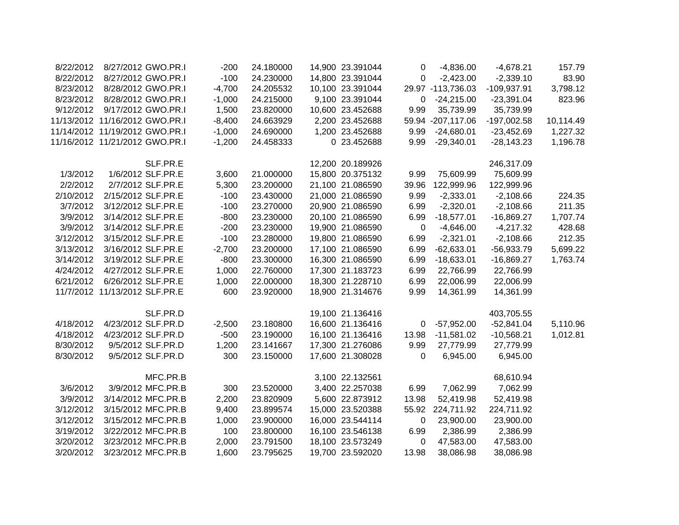| 8/22/2012 | 8/27/2012 GWO.PR.I             | $-200$   | 24.180000 | 14,900 23.391044 | 0           | $-4,836.00$       | $-4,678.21$   | 157.79    |
|-----------|--------------------------------|----------|-----------|------------------|-------------|-------------------|---------------|-----------|
| 8/22/2012 | 8/27/2012 GWO.PR.I             | $-100$   | 24.230000 | 14,800 23.391044 | 0           | $-2,423.00$       | $-2,339.10$   | 83.90     |
| 8/23/2012 | 8/28/2012 GWO.PR.I             | $-4,700$ | 24.205532 | 10,100 23.391044 |             | 29.97 -113,736.03 | -109,937.91   | 3,798.12  |
| 8/23/2012 | 8/28/2012 GWO.PR.I             | $-1,000$ | 24.215000 | 9,100 23.391044  | 0           | $-24,215.00$      | $-23,391.04$  | 823.96    |
| 9/12/2012 | 9/17/2012 GWO.PR.I             | 1,500    | 23.820000 | 10,600 23.452688 | 9.99        | 35,739.99         | 35,739.99     |           |
|           | 11/13/2012 11/16/2012 GWO.PR.I | $-8,400$ | 24.663929 | 2,200 23.452688  |             | 59.94 -207,117.06 | $-197,002.58$ | 10,114.49 |
|           | 11/14/2012 11/19/2012 GWO.PR.I | $-1,000$ | 24.690000 | 1,200 23.452688  | 9.99        | $-24,680.01$      | $-23,452.69$  | 1,227.32  |
|           | 11/16/2012 11/21/2012 GWO.PR.I | $-1,200$ | 24.458333 | 0 23.452688      | 9.99        | $-29,340.01$      | $-28,143.23$  | 1,196.78  |
|           | SLF.PR.E                       |          |           | 12,200 20.189926 |             |                   | 246,317.09    |           |
| 1/3/2012  | 1/6/2012 SLF.PR.E              | 3,600    | 21.000000 | 15,800 20.375132 | 9.99        | 75,609.99         | 75,609.99     |           |
| 2/2/2012  | 2/7/2012 SLF.PR.E              | 5,300    | 23.200000 | 21,100 21.086590 | 39.96       | 122,999.96        | 122,999.96    |           |
| 2/10/2012 | 2/15/2012 SLF.PR.E             | $-100$   | 23.430000 | 21,000 21.086590 | 9.99        | $-2,333.01$       | $-2,108.66$   | 224.35    |
| 3/7/2012  | 3/12/2012 SLF.PR.E             | $-100$   | 23.270000 | 20,900 21.086590 | 6.99        | $-2,320.01$       | $-2,108.66$   | 211.35    |
| 3/9/2012  | 3/14/2012 SLF.PR.E             | $-800$   | 23.230000 | 20,100 21.086590 | 6.99        | $-18,577.01$      | $-16,869.27$  | 1,707.74  |
| 3/9/2012  | 3/14/2012 SLF.PR.E             | $-200$   | 23.230000 | 19,900 21.086590 | $\mathbf 0$ | $-4,646.00$       | $-4,217.32$   | 428.68    |
| 3/12/2012 | 3/15/2012 SLF.PR.E             | $-100$   | 23.280000 | 19,800 21.086590 | 6.99        | $-2,321.01$       | $-2,108.66$   | 212.35    |
| 3/13/2012 | 3/16/2012 SLF.PR.E             | $-2,700$ | 23.200000 | 17,100 21.086590 | 6.99        | $-62,633.01$      | $-56,933.79$  | 5,699.22  |
| 3/14/2012 | 3/19/2012 SLF.PR.E             | $-800$   | 23.300000 | 16,300 21.086590 | 6.99        | $-18,633.01$      | $-16,869.27$  | 1,763.74  |
| 4/24/2012 | 4/27/2012 SLF.PR.E             | 1,000    | 22.760000 | 17,300 21.183723 | 6.99        | 22,766.99         | 22,766.99     |           |
| 6/21/2012 | 6/26/2012 SLF.PR.E             | 1,000    | 22.000000 | 18,300 21.228710 | 6.99        | 22,006.99         | 22,006.99     |           |
|           | 11/7/2012 11/13/2012 SLF.PR.E  | 600      | 23.920000 | 18,900 21.314676 | 9.99        | 14,361.99         | 14,361.99     |           |
|           | SLF.PR.D                       |          |           | 19,100 21.136416 |             |                   | 403,705.55    |           |
| 4/18/2012 | 4/23/2012 SLF.PR.D             | $-2,500$ | 23.180800 | 16,600 21.136416 | $\mathbf 0$ | $-57,952.00$      | $-52,841.04$  | 5,110.96  |
| 4/18/2012 | 4/23/2012 SLF.PR.D             | $-500$   | 23.190000 | 16,100 21.136416 | 13.98       | $-11,581.02$      | $-10,568.21$  | 1,012.81  |
| 8/30/2012 | 9/5/2012 SLF.PR.D              | 1,200    | 23.141667 | 17,300 21.276086 | 9.99        | 27,779.99         | 27,779.99     |           |
| 8/30/2012 | 9/5/2012 SLF.PR.D              | 300      | 23.150000 | 17,600 21.308028 | 0           | 6,945.00          | 6,945.00      |           |
|           | MFC.PR.B                       |          |           | 3,100 22.132561  |             |                   | 68,610.94     |           |
| 3/6/2012  | 3/9/2012 MFC.PR.B              | 300      | 23.520000 | 3,400 22.257038  | 6.99        | 7,062.99          | 7,062.99      |           |
| 3/9/2012  | 3/14/2012 MFC.PR.B             | 2,200    | 23.820909 | 5,600 22.873912  | 13.98       | 52,419.98         | 52,419.98     |           |
| 3/12/2012 | 3/15/2012 MFC.PR.B             | 9,400    | 23.899574 | 15,000 23.520388 | 55.92       | 224,711.92        | 224,711.92    |           |
| 3/12/2012 | 3/15/2012 MFC.PR.B             | 1,000    | 23.900000 | 16,000 23.544114 | 0           | 23,900.00         | 23,900.00     |           |
| 3/19/2012 | 3/22/2012 MFC.PR.B             | 100      | 23.800000 | 16,100 23.546138 | 6.99        | 2,386.99          | 2,386.99      |           |
| 3/20/2012 | 3/23/2012 MFC.PR.B             | 2,000    | 23.791500 | 18,100 23.573249 | 0           | 47,583.00         | 47,583.00     |           |
| 3/20/2012 | 3/23/2012 MFC.PR.B             | 1,600    | 23.795625 | 19,700 23.592020 | 13.98       | 38,086.98         | 38,086.98     |           |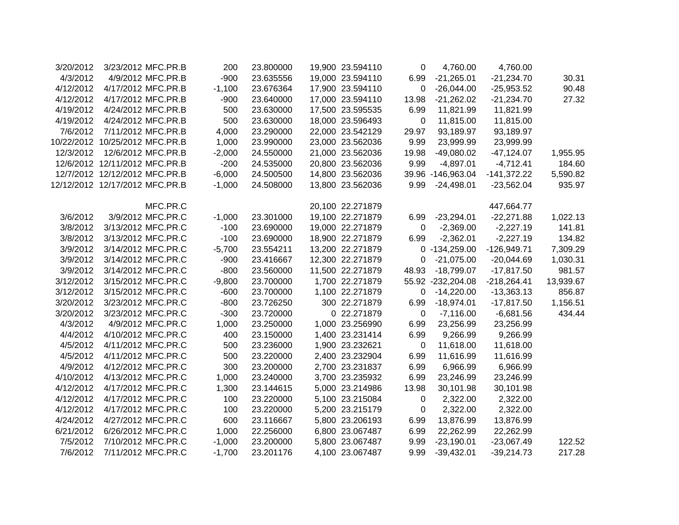| 3/20/2012 | 3/23/2012 MFC.PR.B             | 200      | 23.800000 | 19,900 23.594110 | 0           | 4,760.00          | 4,760.00      |           |
|-----------|--------------------------------|----------|-----------|------------------|-------------|-------------------|---------------|-----------|
| 4/3/2012  | 4/9/2012 MFC.PR.B              | $-900$   | 23.635556 | 19,000 23.594110 | 6.99        | $-21,265.01$      | $-21,234.70$  | 30.31     |
| 4/12/2012 | 4/17/2012 MFC.PR.B             | $-1,100$ | 23.676364 | 17,900 23.594110 | 0           | $-26,044.00$      | $-25,953.52$  | 90.48     |
| 4/12/2012 | 4/17/2012 MFC.PR.B             | $-900$   | 23.640000 | 17,000 23.594110 | 13.98       | $-21,262.02$      | $-21,234.70$  | 27.32     |
| 4/19/2012 | 4/24/2012 MFC.PR.B             | 500      | 23.630000 | 17,500 23.595535 | 6.99        | 11,821.99         | 11,821.99     |           |
| 4/19/2012 | 4/24/2012 MFC.PR.B             | 500      | 23.630000 | 18,000 23.596493 | 0           | 11,815.00         | 11,815.00     |           |
| 7/6/2012  | 7/11/2012 MFC.PR.B             | 4,000    | 23.290000 | 22,000 23.542129 | 29.97       | 93,189.97         | 93,189.97     |           |
|           | 10/22/2012 10/25/2012 MFC.PR.B | 1,000    | 23.990000 | 23,000 23.562036 | 9.99        | 23,999.99         | 23,999.99     |           |
| 12/3/2012 | 12/6/2012 MFC.PR.B             | $-2,000$ | 24.550000 | 21,000 23.562036 | 19.98       | $-49,080.02$      | $-47,124.07$  | 1,955.95  |
|           | 12/6/2012 12/11/2012 MFC.PR.B  | $-200$   | 24.535000 | 20,800 23.562036 | 9.99        | $-4,897.01$       | $-4,712.41$   | 184.60    |
|           | 12/7/2012 12/12/2012 MFC.PR.B  | $-6,000$ | 24.500500 | 14,800 23.562036 |             | 39.96 -146,963.04 | $-141,372.22$ | 5,590.82  |
|           | 12/12/2012 12/17/2012 MFC.PR.B | $-1,000$ | 24.508000 | 13,800 23.562036 | 9.99        | $-24,498.01$      | $-23,562.04$  | 935.97    |
|           | MFC.PR.C                       |          |           | 20,100 22.271879 |             |                   | 447,664.77    |           |
| 3/6/2012  | 3/9/2012 MFC.PR.C              | $-1,000$ | 23.301000 | 19,100 22.271879 | 6.99        | $-23,294.01$      | $-22,271.88$  | 1,022.13  |
| 3/8/2012  | 3/13/2012 MFC.PR.C             | $-100$   | 23.690000 | 19,000 22.271879 | 0           | $-2,369.00$       | $-2,227.19$   | 141.81    |
| 3/8/2012  | 3/13/2012 MFC.PR.C             | $-100$   | 23.690000 | 18,900 22.271879 | 6.99        | $-2,362.01$       | $-2,227.19$   | 134.82    |
| 3/9/2012  | 3/14/2012 MFC.PR.C             | $-5,700$ | 23.554211 | 13,200 22.271879 |             | 0 -134,259.00     | $-126,949.71$ | 7,309.29  |
| 3/9/2012  | 3/14/2012 MFC.PR.C             | $-900$   | 23.416667 | 12,300 22.271879 | 0           | $-21,075.00$      | $-20,044.69$  | 1,030.31  |
| 3/9/2012  | 3/14/2012 MFC.PR.C             | $-800$   | 23.560000 | 11,500 22.271879 | 48.93       | $-18,799.07$      | $-17,817.50$  | 981.57    |
| 3/12/2012 | 3/15/2012 MFC.PR.C             | $-9,800$ | 23.700000 | 1,700 22.271879  |             | 55.92 -232,204.08 | $-218,264.41$ | 13,939.67 |
| 3/12/2012 | 3/15/2012 MFC.PR.C             | $-600$   | 23.700000 | 1,100 22.271879  | 0           | $-14,220.00$      | $-13,363.13$  | 856.87    |
| 3/20/2012 | 3/23/2012 MFC.PR.C             | $-800$   | 23.726250 | 300 22.271879    | 6.99        | $-18,974.01$      | $-17,817.50$  | 1,156.51  |
| 3/20/2012 | 3/23/2012 MFC.PR.C             | $-300$   | 23.720000 | 0 22.271879      | $\mathbf 0$ | $-7,116.00$       | $-6,681.56$   | 434.44    |
| 4/3/2012  | 4/9/2012 MFC.PR.C              | 1,000    | 23.250000 | 1,000 23.256990  | 6.99        | 23,256.99         | 23,256.99     |           |
| 4/4/2012  | 4/10/2012 MFC.PR.C             | 400      | 23.150000 | 1,400 23.231414  | 6.99        | 9,266.99          | 9,266.99      |           |
| 4/5/2012  | 4/11/2012 MFC.PR.C             | 500      | 23.236000 | 1,900 23.232621  | 0           | 11,618.00         | 11,618.00     |           |
| 4/5/2012  | 4/11/2012 MFC.PR.C             | 500      | 23.220000 | 2,400 23.232904  | 6.99        | 11,616.99         | 11,616.99     |           |
| 4/9/2012  | 4/12/2012 MFC.PR.C             | 300      | 23.200000 | 2,700 23.231837  | 6.99        | 6,966.99          | 6,966.99      |           |
| 4/10/2012 | 4/13/2012 MFC.PR.C             | 1,000    | 23.240000 | 3,700 23.235932  | 6.99        | 23,246.99         | 23,246.99     |           |
| 4/12/2012 | 4/17/2012 MFC.PR.C             | 1,300    | 23.144615 | 5,000 23.214986  | 13.98       | 30,101.98         | 30,101.98     |           |
| 4/12/2012 | 4/17/2012 MFC.PR.C             | 100      | 23.220000 | 5,100 23.215084  | 0           | 2,322.00          | 2,322.00      |           |
| 4/12/2012 | 4/17/2012 MFC.PR.C             | 100      | 23.220000 | 5,200 23.215179  | 0           | 2,322.00          | 2,322.00      |           |
| 4/24/2012 | 4/27/2012 MFC.PR.C             | 600      | 23.116667 | 5,800 23.206193  | 6.99        | 13,876.99         | 13,876.99     |           |
| 6/21/2012 | 6/26/2012 MFC.PR.C             | 1,000    | 22.256000 | 6,800 23.067487  | 6.99        | 22,262.99         | 22,262.99     |           |
| 7/5/2012  | 7/10/2012 MFC.PR.C             | $-1,000$ | 23.200000 | 5,800 23.067487  | 9.99        | $-23,190.01$      | $-23,067.49$  | 122.52    |
| 7/6/2012  | 7/11/2012 MFC.PR.C             | $-1,700$ | 23.201176 | 4,100 23.067487  | 9.99        | $-39,432.01$      | $-39,214.73$  | 217.28    |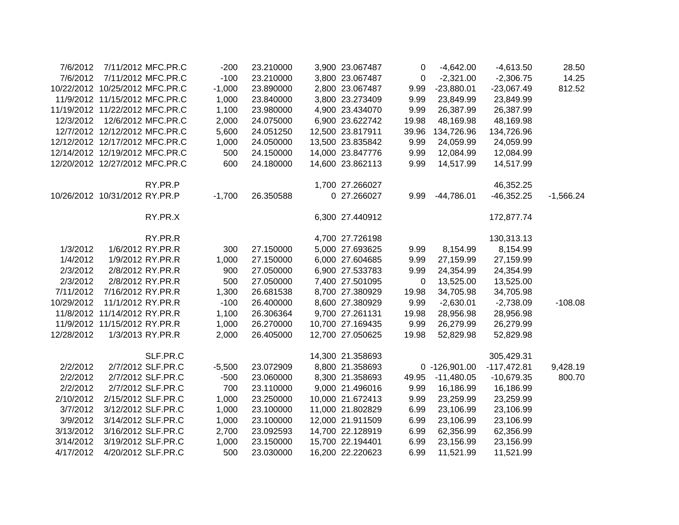| 7/6/2012   | 7/11/2012 MFC.PR.C             | $-200$   | 23.210000 | 3,900 23.067487  | 0     | $-4,642.00$     | $-4,613.50$   | 28.50       |
|------------|--------------------------------|----------|-----------|------------------|-------|-----------------|---------------|-------------|
| 7/6/2012   | 7/11/2012 MFC.PR.C             | $-100$   | 23.210000 | 3,800 23.067487  | 0     | $-2,321.00$     | $-2,306.75$   | 14.25       |
|            | 10/22/2012 10/25/2012 MFC.PR.C | $-1,000$ | 23.890000 | 2,800 23.067487  | 9.99  | $-23,880.01$    | $-23,067.49$  | 812.52      |
|            | 11/9/2012 11/15/2012 MFC.PR.C  | 1,000    | 23.840000 | 3,800 23.273409  | 9.99  | 23,849.99       | 23,849.99     |             |
|            | 11/19/2012 11/22/2012 MFC.PR.C | 1,100    | 23.980000 | 4,900 23.434070  | 9.99  | 26,387.99       | 26,387.99     |             |
| 12/3/2012  | 12/6/2012 MFC.PR.C             | 2,000    | 24.075000 | 6,900 23.622742  | 19.98 | 48,169.98       | 48,169.98     |             |
|            | 12/7/2012 12/12/2012 MFC.PR.C  | 5,600    | 24.051250 | 12,500 23.817911 | 39.96 | 134,726.96      | 134,726.96    |             |
|            | 12/12/2012 12/17/2012 MFC.PR.C | 1,000    | 24.050000 | 13,500 23.835842 | 9.99  | 24,059.99       | 24,059.99     |             |
|            | 12/14/2012 12/19/2012 MFC.PR.C | 500      | 24.150000 | 14,000 23.847776 | 9.99  | 12,084.99       | 12,084.99     |             |
|            | 12/20/2012 12/27/2012 MFC.PR.C | 600      | 24.180000 | 14,600 23.862113 | 9.99  | 14,517.99       | 14,517.99     |             |
|            | RY.PR.P                        |          |           | 1,700 27.266027  |       |                 | 46,352.25     |             |
|            | 10/26/2012 10/31/2012 RY.PR.P  | $-1,700$ | 26.350588 | 0 27.266027      | 9.99  | $-44,786.01$    | $-46,352.25$  | $-1,566.24$ |
|            | RY.PR.X                        |          |           | 6,300 27.440912  |       |                 | 172,877.74    |             |
|            | RY.PR.R                        |          |           | 4,700 27.726198  |       |                 | 130,313.13    |             |
| 1/3/2012   | 1/6/2012 RY.PR.R               | 300      | 27.150000 | 5,000 27.693625  | 9.99  | 8,154.99        | 8,154.99      |             |
| 1/4/2012   | 1/9/2012 RY.PR.R               | 1,000    | 27.150000 | 6,000 27.604685  | 9.99  | 27,159.99       | 27,159.99     |             |
| 2/3/2012   | 2/8/2012 RY.PR.R               | 900      | 27.050000 | 6,900 27.533783  | 9.99  | 24,354.99       | 24,354.99     |             |
| 2/3/2012   | 2/8/2012 RY.PR.R               | 500      | 27.050000 | 7,400 27.501095  | 0     | 13,525.00       | 13,525.00     |             |
| 7/11/2012  | 7/16/2012 RY.PR.R              | 1,300    | 26.681538 | 8,700 27.380929  | 19.98 | 34,705.98       | 34,705.98     |             |
| 10/29/2012 | 11/1/2012 RY.PR.R              | $-100$   | 26.400000 | 8,600 27.380929  | 9.99  | $-2,630.01$     | $-2,738.09$   | $-108.08$   |
|            | 11/8/2012 11/14/2012 RY.PR.R   | 1,100    | 26.306364 | 9,700 27.261131  | 19.98 | 28,956.98       | 28,956.98     |             |
|            | 11/9/2012 11/15/2012 RY.PR.R   | 1,000    | 26.270000 | 10,700 27.169435 | 9.99  | 26,279.99       | 26,279.99     |             |
| 12/28/2012 | 1/3/2013 RY.PR.R               | 2,000    | 26.405000 | 12,700 27.050625 | 19.98 | 52,829.98       | 52,829.98     |             |
|            | SLF.PR.C                       |          |           | 14,300 21.358693 |       |                 | 305,429.31    |             |
| 2/2/2012   | 2/7/2012 SLF.PR.C              | $-5,500$ | 23.072909 | 8,800 21.358693  |       | $0 -126,901.00$ | $-117,472.81$ | 9,428.19    |
| 2/2/2012   | 2/7/2012 SLF.PR.C              | $-500$   | 23.060000 | 8,300 21.358693  | 49.95 | $-11,480.05$    | $-10,679.35$  | 800.70      |
| 2/2/2012   | 2/7/2012 SLF.PR.C              | 700      | 23.110000 | 9,000 21.496016  | 9.99  | 16,186.99       | 16,186.99     |             |
| 2/10/2012  | 2/15/2012 SLF.PR.C             | 1,000    | 23.250000 | 10,000 21.672413 | 9.99  | 23,259.99       | 23,259.99     |             |
| 3/7/2012   | 3/12/2012 SLF.PR.C             | 1,000    | 23.100000 | 11,000 21.802829 | 6.99  | 23,106.99       | 23,106.99     |             |
| 3/9/2012   | 3/14/2012 SLF.PR.C             | 1,000    | 23.100000 | 12,000 21.911509 | 6.99  | 23,106.99       | 23,106.99     |             |
| 3/13/2012  | 3/16/2012 SLF.PR.C             | 2,700    | 23.092593 | 14,700 22.128919 | 6.99  | 62,356.99       | 62,356.99     |             |
| 3/14/2012  | 3/19/2012 SLF.PR.C             | 1,000    | 23.150000 | 15,700 22.194401 | 6.99  | 23,156.99       | 23,156.99     |             |
| 4/17/2012  | 4/20/2012 SLF.PR.C             | 500      | 23.030000 | 16,200 22.220623 | 6.99  | 11,521.99       | 11,521.99     |             |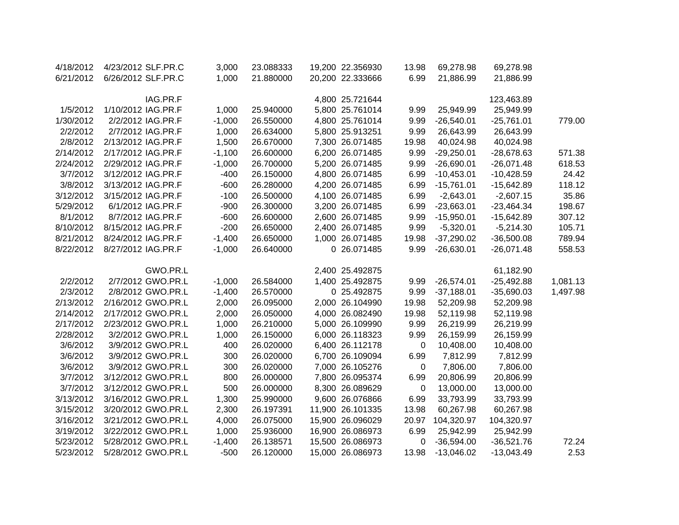| 4/18/2012 | 4/23/2012 SLF.PR.C | 3,000    | 23.088333 | 19,200 22.356930 | 13.98        | 69,278.98    | 69,278.98    |          |
|-----------|--------------------|----------|-----------|------------------|--------------|--------------|--------------|----------|
| 6/21/2012 | 6/26/2012 SLF.PR.C | 1,000    | 21.880000 | 20,200 22.333666 | 6.99         | 21,886.99    | 21,886.99    |          |
|           | IAG.PR.F           |          |           | 4,800 25.721644  |              |              | 123,463.89   |          |
| 1/5/2012  | 1/10/2012 IAG.PR.F | 1,000    | 25.940000 | 5,800 25.761014  | 9.99         | 25,949.99    | 25,949.99    |          |
| 1/30/2012 | 2/2/2012 IAG.PR.F  | $-1,000$ | 26.550000 | 4,800 25.761014  | 9.99         | $-26,540.01$ | $-25,761.01$ | 779.00   |
| 2/2/2012  | 2/7/2012 IAG.PR.F  | 1,000    | 26.634000 | 5,800 25.913251  | 9.99         | 26,643.99    | 26,643.99    |          |
| 2/8/2012  | 2/13/2012 IAG.PR.F | 1,500    | 26.670000 | 7,300 26.071485  | 19.98        | 40,024.98    | 40,024.98    |          |
| 2/14/2012 | 2/17/2012 IAG.PR.F | $-1,100$ | 26.600000 | 6,200 26.071485  | 9.99         | $-29,250.01$ | $-28,678.63$ | 571.38   |
| 2/24/2012 | 2/29/2012 IAG.PR.F | $-1,000$ | 26.700000 | 5,200 26.071485  | 9.99         | $-26,690.01$ | $-26,071.48$ | 618.53   |
| 3/7/2012  | 3/12/2012 IAG.PR.F | $-400$   | 26.150000 | 4,800 26.071485  | 6.99         | $-10,453.01$ | $-10,428.59$ | 24.42    |
| 3/8/2012  | 3/13/2012 IAG.PR.F | $-600$   | 26.280000 | 4,200 26.071485  | 6.99         | $-15,761.01$ | $-15,642.89$ | 118.12   |
| 3/12/2012 | 3/15/2012 IAG.PR.F | $-100$   | 26.500000 | 4,100 26.071485  | 6.99         | $-2,643.01$  | $-2,607.15$  | 35.86    |
| 5/29/2012 | 6/1/2012 IAG.PR.F  | $-900$   | 26.300000 | 3,200 26.071485  | 6.99         | $-23,663.01$ | $-23,464.34$ | 198.67   |
| 8/1/2012  | 8/7/2012 IAG.PR.F  | $-600$   | 26.600000 | 2,600 26.071485  | 9.99         | $-15,950.01$ | $-15,642.89$ | 307.12   |
| 8/10/2012 | 8/15/2012 IAG.PR.F | $-200$   | 26.650000 | 2,400 26.071485  | 9.99         | $-5,320.01$  | $-5,214.30$  | 105.71   |
| 8/21/2012 | 8/24/2012 IAG.PR.F | $-1,400$ | 26.650000 | 1,000 26.071485  | 19.98        | $-37,290.02$ | $-36,500.08$ | 789.94   |
| 8/22/2012 | 8/27/2012 IAG.PR.F | $-1,000$ | 26.640000 | 0 26.071485      | 9.99         | $-26,630.01$ | $-26,071.48$ | 558.53   |
|           | GWO.PR.L           |          |           | 2,400 25.492875  |              |              | 61,182.90    |          |
| 2/2/2012  | 2/7/2012 GWO.PR.L  | $-1,000$ | 26.584000 | 1,400 25.492875  | 9.99         | $-26,574.01$ | $-25,492.88$ | 1,081.13 |
| 2/3/2012  | 2/8/2012 GWO.PR.L  | $-1,400$ | 26.570000 | 0 25.492875      | 9.99         | $-37,188.01$ | $-35,690.03$ | 1,497.98 |
| 2/13/2012 | 2/16/2012 GWO.PR.L | 2,000    | 26.095000 | 2,000 26.104990  | 19.98        | 52,209.98    | 52,209.98    |          |
| 2/14/2012 | 2/17/2012 GWO.PR.L | 2,000    | 26.050000 | 4,000 26.082490  | 19.98        | 52,119.98    | 52,119.98    |          |
| 2/17/2012 | 2/23/2012 GWO.PR.L | 1,000    | 26.210000 | 5,000 26.109990  | 9.99         | 26,219.99    | 26,219.99    |          |
| 2/28/2012 | 3/2/2012 GWO.PR.L  | 1,000    | 26.150000 | 6,000 26.118323  | 9.99         | 26,159.99    | 26,159.99    |          |
| 3/6/2012  | 3/9/2012 GWO.PR.L  | 400      | 26.020000 | 6,400 26.112178  | $\mathbf{0}$ | 10,408.00    | 10,408.00    |          |
| 3/6/2012  | 3/9/2012 GWO.PR.L  | 300      | 26.020000 | 6,700 26.109094  | 6.99         | 7,812.99     | 7,812.99     |          |
| 3/6/2012  | 3/9/2012 GWO.PR.L  | 300      | 26.020000 | 7,000 26.105276  | $\mathbf 0$  | 7,806.00     | 7,806.00     |          |
| 3/7/2012  | 3/12/2012 GWO.PR.L | 800      | 26.000000 | 7,800 26.095374  | 6.99         | 20,806.99    | 20,806.99    |          |
| 3/7/2012  | 3/12/2012 GWO.PR.L | 500      | 26.000000 | 8,300 26.089629  | 0            | 13,000.00    | 13,000.00    |          |
| 3/13/2012 | 3/16/2012 GWO.PR.L | 1,300    | 25.990000 | 9,600 26.076866  | 6.99         | 33,793.99    | 33,793.99    |          |
| 3/15/2012 | 3/20/2012 GWO.PR.L | 2,300    | 26.197391 | 11,900 26.101335 | 13.98        | 60,267.98    | 60,267.98    |          |
| 3/16/2012 | 3/21/2012 GWO.PR.L | 4,000    | 26.075000 | 15,900 26.096029 | 20.97        | 104,320.97   | 104,320.97   |          |
| 3/19/2012 | 3/22/2012 GWO.PR.L | 1,000    | 25.936000 | 16,900 26.086973 | 6.99         | 25,942.99    | 25,942.99    |          |
| 5/23/2012 | 5/28/2012 GWO.PR.L | $-1,400$ | 26.138571 | 15,500 26.086973 | 0            | $-36,594.00$ | $-36,521.76$ | 72.24    |
| 5/23/2012 | 5/28/2012 GWO.PR.L | $-500$   | 26.120000 | 15,000 26.086973 | 13.98        | $-13,046.02$ | $-13,043.49$ | 2.53     |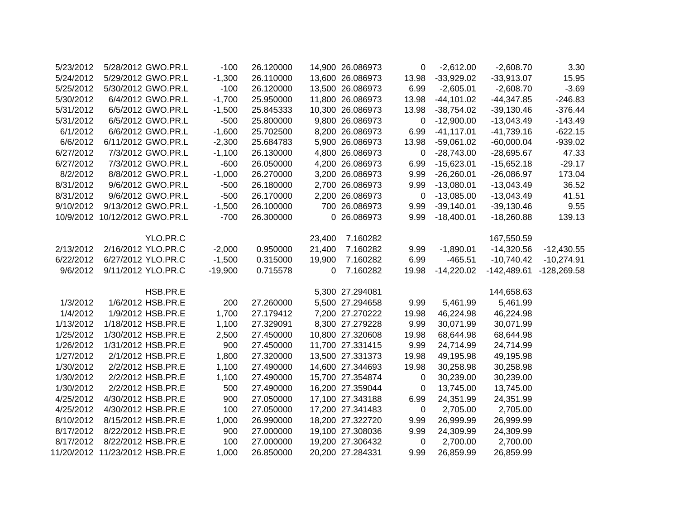| 5/23/2012 | 5/28/2012 GWO.PR.L             | $-100$    | 26.120000 |        | 14,900 26.086973 | 0           | $-2,612.00$   | $-2,608.70$   | 3.30          |
|-----------|--------------------------------|-----------|-----------|--------|------------------|-------------|---------------|---------------|---------------|
| 5/24/2012 | 5/29/2012 GWO.PR.L             | $-1,300$  | 26.110000 |        | 13,600 26.086973 | 13.98       | $-33,929.02$  | $-33,913.07$  | 15.95         |
| 5/25/2012 | 5/30/2012 GWO.PR.L             | $-100$    | 26.120000 |        | 13,500 26.086973 | 6.99        | $-2,605.01$   | $-2,608.70$   | $-3.69$       |
| 5/30/2012 | 6/4/2012 GWO.PR.L              | $-1,700$  | 25.950000 |        | 11,800 26.086973 | 13.98       | $-44, 101.02$ | $-44,347.85$  | $-246.83$     |
| 5/31/2012 | 6/5/2012 GWO.PR.L              | $-1,500$  | 25.845333 |        | 10,300 26.086973 | 13.98       | $-38,754.02$  | $-39,130.46$  | $-376.44$     |
| 5/31/2012 | 6/5/2012 GWO.PR.L              | $-500$    | 25.800000 |        | 9,800 26.086973  | 0           | $-12,900.00$  | $-13,043.49$  | $-143.49$     |
| 6/1/2012  | 6/6/2012 GWO.PR.L              | $-1,600$  | 25.702500 |        | 8,200 26.086973  | 6.99        | $-41, 117.01$ | $-41,739.16$  | $-622.15$     |
| 6/6/2012  | 6/11/2012 GWO.PR.L             | $-2,300$  | 25.684783 |        | 5,900 26.086973  | 13.98       | $-59,061.02$  | $-60,000.04$  | $-939.02$     |
| 6/27/2012 | 7/3/2012 GWO.PR.L              | $-1,100$  | 26.130000 |        | 4,800 26.086973  | 0           | $-28,743.00$  | $-28,695.67$  | 47.33         |
| 6/27/2012 | 7/3/2012 GWO.PR.L              | $-600$    | 26.050000 |        | 4,200 26.086973  | 6.99        | $-15,623.01$  | $-15,652.18$  | $-29.17$      |
| 8/2/2012  | 8/8/2012 GWO.PR.L              | $-1,000$  | 26.270000 |        | 3,200 26.086973  | 9.99        | $-26,260.01$  | $-26,086.97$  | 173.04        |
| 8/31/2012 | 9/6/2012 GWO.PR.L              | $-500$    | 26.180000 |        | 2,700 26.086973  | 9.99        | $-13,080.01$  | $-13,043.49$  | 36.52         |
| 8/31/2012 | 9/6/2012 GWO.PR.L              | $-500$    | 26.170000 |        | 2,200 26.086973  | $\mathbf 0$ | $-13,085.00$  | $-13,043.49$  | 41.51         |
| 9/10/2012 | 9/13/2012 GWO.PR.L             | $-1,500$  | 26.100000 |        | 700 26.086973    | 9.99        | $-39,140.01$  | $-39,130.46$  | 9.55          |
|           | 10/9/2012 10/12/2012 GWO.PR.L  | $-700$    | 26.300000 |        | 0 26.086973      | 9.99        | $-18,400.01$  | $-18,260.88$  | 139.13        |
|           |                                |           |           |        |                  |             |               |               |               |
|           | YLO.PR.C                       |           |           | 23,400 | 7.160282         |             |               | 167,550.59    |               |
| 2/13/2012 | 2/16/2012 YLO.PR.C             | $-2,000$  | 0.950000  | 21,400 | 7.160282         | 9.99        | $-1,890.01$   | $-14,320.56$  | $-12,430.55$  |
| 6/22/2012 | 6/27/2012 YLO.PR.C             | $-1,500$  | 0.315000  | 19,900 | 7.160282         | 6.99        | $-465.51$     | $-10,740.42$  | $-10,274.91$  |
| 9/6/2012  | 9/11/2012 YLO.PR.C             | $-19,900$ | 0.715578  | 0      | 7.160282         | 19.98       | $-14,220.02$  | $-142,489.61$ | $-128,269.58$ |
|           |                                |           |           |        |                  |             |               |               |               |
|           | HSB.PR.E                       |           |           |        | 5,300 27.294081  |             |               | 144,658.63    |               |
| 1/3/2012  | 1/6/2012 HSB.PR.E              | 200       | 27.260000 |        | 5,500 27.294658  | 9.99        | 5,461.99      | 5,461.99      |               |
| 1/4/2012  | 1/9/2012 HSB.PR.E              | 1,700     | 27.179412 |        | 7,200 27.270222  | 19.98       | 46,224.98     | 46,224.98     |               |
| 1/13/2012 | 1/18/2012 HSB.PR.E             | 1,100     | 27.329091 |        | 8,300 27.279228  | 9.99        | 30,071.99     | 30,071.99     |               |
| 1/25/2012 | 1/30/2012 HSB.PR.E             | 2,500     | 27.450000 |        | 10,800 27.320608 | 19.98       | 68,644.98     | 68,644.98     |               |
| 1/26/2012 | 1/31/2012 HSB.PR.E             | 900       | 27.450000 |        | 11,700 27.331415 | 9.99        | 24,714.99     | 24,714.99     |               |
| 1/27/2012 | 2/1/2012 HSB.PR.E              | 1,800     | 27.320000 |        | 13,500 27.331373 | 19.98       | 49,195.98     | 49,195.98     |               |
| 1/30/2012 | 2/2/2012 HSB.PR.E              | 1,100     | 27.490000 |        | 14,600 27.344693 | 19.98       | 30,258.98     | 30,258.98     |               |
| 1/30/2012 | 2/2/2012 HSB.PR.E              | 1,100     | 27.490000 |        | 15,700 27.354874 | $\mathbf 0$ | 30,239.00     | 30,239.00     |               |
| 1/30/2012 | 2/2/2012 HSB.PR.E              | 500       | 27.490000 |        | 16,200 27.359044 | 0           | 13,745.00     | 13,745.00     |               |
| 4/25/2012 | 4/30/2012 HSB.PR.E             | 900       | 27.050000 |        | 17,100 27.343188 | 6.99        | 24,351.99     | 24,351.99     |               |
| 4/25/2012 | 4/30/2012 HSB.PR.E             | 100       | 27.050000 |        | 17,200 27.341483 | 0           | 2,705.00      | 2,705.00      |               |
| 8/10/2012 | 8/15/2012 HSB.PR.E             | 1,000     | 26.990000 |        | 18,200 27.322720 | 9.99        | 26,999.99     | 26,999.99     |               |
| 8/17/2012 | 8/22/2012 HSB.PR.E             | 900       | 27.000000 |        | 19,100 27.308036 | 9.99        | 24,309.99     | 24,309.99     |               |
| 8/17/2012 | 8/22/2012 HSB.PR.E             | 100       | 27.000000 |        | 19,200 27.306432 | $\mathbf 0$ | 2,700.00      | 2,700.00      |               |
|           | 11/20/2012 11/23/2012 HSB.PR.E | 1,000     | 26.850000 |        | 20,200 27.284331 | 9.99        | 26,859.99     | 26,859.99     |               |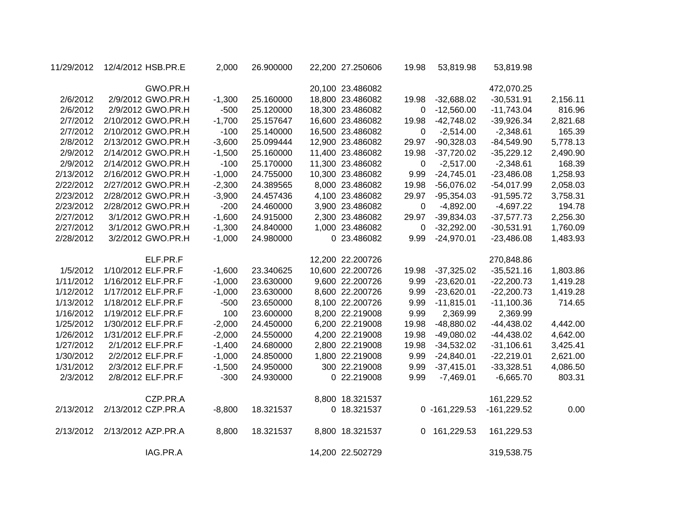| 11/29/2012 | 12/4/2012 HSB.PR.E | 2,000    | 26.900000 | 22,200 27.250606 | 19.98 | 53,819.98        | 53,819.98     |          |
|------------|--------------------|----------|-----------|------------------|-------|------------------|---------------|----------|
|            | GWO.PR.H           |          |           | 20,100 23.486082 |       |                  | 472,070.25    |          |
| 2/6/2012   | 2/9/2012 GWO.PR.H  | $-1,300$ | 25.160000 | 18,800 23.486082 | 19.98 | $-32,688.02$     | $-30,531.91$  | 2,156.11 |
| 2/6/2012   | 2/9/2012 GWO.PR.H  | $-500$   | 25.120000 | 18,300 23.486082 | 0     | $-12,560.00$     | $-11,743.04$  | 816.96   |
| 2/7/2012   | 2/10/2012 GWO.PR.H | $-1,700$ | 25.157647 | 16,600 23.486082 | 19.98 | $-42,748.02$     | $-39,926.34$  | 2,821.68 |
| 2/7/2012   | 2/10/2012 GWO.PR.H | $-100$   | 25.140000 | 16,500 23.486082 | 0     | $-2,514.00$      | $-2,348.61$   | 165.39   |
| 2/8/2012   | 2/13/2012 GWO.PR.H | $-3,600$ | 25.099444 | 12,900 23.486082 | 29.97 | $-90,328.03$     | $-84,549.90$  | 5,778.13 |
| 2/9/2012   | 2/14/2012 GWO.PR.H | $-1,500$ | 25.160000 | 11,400 23.486082 | 19.98 | $-37,720.02$     | $-35,229.12$  | 2,490.90 |
| 2/9/2012   | 2/14/2012 GWO.PR.H | $-100$   | 25.170000 | 11,300 23.486082 | 0     | $-2,517.00$      | $-2,348.61$   | 168.39   |
| 2/13/2012  | 2/16/2012 GWO.PR.H | $-1,000$ | 24.755000 | 10,300 23.486082 | 9.99  | $-24,745.01$     | $-23,486.08$  | 1,258.93 |
| 2/22/2012  | 2/27/2012 GWO.PR.H | $-2,300$ | 24.389565 | 8,000 23.486082  | 19.98 | $-56,076.02$     | $-54,017.99$  | 2,058.03 |
| 2/23/2012  | 2/28/2012 GWO.PR.H | $-3,900$ | 24.457436 | 4,100 23.486082  | 29.97 | $-95,354.03$     | $-91,595.72$  | 3,758.31 |
| 2/23/2012  | 2/28/2012 GWO.PR.H | $-200$   | 24.460000 | 3,900 23.486082  | 0     | $-4,892.00$      | $-4,697.22$   | 194.78   |
| 2/27/2012  | 3/1/2012 GWO.PR.H  | $-1,600$ | 24.915000 | 2,300 23.486082  | 29.97 | $-39,834.03$     | $-37,577.73$  | 2,256.30 |
| 2/27/2012  | 3/1/2012 GWO.PR.H  | $-1,300$ | 24.840000 | 1,000 23.486082  | 0     | $-32,292.00$     | $-30,531.91$  | 1,760.09 |
| 2/28/2012  | 3/2/2012 GWO.PR.H  | $-1,000$ | 24.980000 | 0 23.486082      | 9.99  | $-24,970.01$     | $-23,486.08$  | 1,483.93 |
|            | ELF.PR.F           |          |           | 12,200 22.200726 |       |                  | 270,848.86    |          |
| 1/5/2012   | 1/10/2012 ELF.PR.F | $-1,600$ | 23.340625 | 10,600 22.200726 | 19.98 | $-37,325.02$     | $-35,521.16$  | 1,803.86 |
| 1/11/2012  | 1/16/2012 ELF.PR.F | $-1,000$ | 23.630000 | 9,600 22.200726  | 9.99  | $-23,620.01$     | $-22,200.73$  | 1,419.28 |
| 1/12/2012  | 1/17/2012 ELF.PR.F | $-1,000$ | 23.630000 | 8,600 22.200726  | 9.99  | $-23,620.01$     | $-22,200.73$  | 1,419.28 |
| 1/13/2012  | 1/18/2012 ELF.PR.F | $-500$   | 23.650000 | 8,100 22.200726  | 9.99  | $-11,815.01$     | $-11,100.36$  | 714.65   |
| 1/16/2012  | 1/19/2012 ELF.PR.F | 100      | 23.600000 | 8,200 22.219008  | 9.99  | 2,369.99         | 2,369.99      |          |
| 1/25/2012  | 1/30/2012 ELF.PR.F | $-2,000$ | 24.450000 | 6,200 22.219008  | 19.98 | -48,880.02       | $-44,438.02$  | 4,442.00 |
| 1/26/2012  | 1/31/2012 ELF.PR.F | $-2,000$ | 24.550000 | 4,200 22.219008  | 19.98 | $-49,080.02$     | $-44,438.02$  | 4,642.00 |
| 1/27/2012  | 2/1/2012 ELF.PR.F  | $-1,400$ | 24.680000 | 2,800 22.219008  | 19.98 | $-34,532.02$     | $-31,106.61$  | 3,425.41 |
| 1/30/2012  | 2/2/2012 ELF.PR.F  | $-1,000$ | 24.850000 | 1,800 22.219008  | 9.99  | $-24,840.01$     | $-22,219.01$  | 2,621.00 |
| 1/31/2012  | 2/3/2012 ELF.PR.F  | $-1,500$ | 24.950000 | 300 22.219008    | 9.99  | $-37,415.01$     | $-33,328.51$  | 4,086.50 |
| 2/3/2012   | 2/8/2012 ELF.PR.F  | $-300$   | 24.930000 | 0 22.219008      | 9.99  | $-7,469.01$      | $-6,665.70$   | 803.31   |
|            | CZP.PR.A           |          |           | 8,800 18.321537  |       |                  | 161,229.52    |          |
| 2/13/2012  | 2/13/2012 CZP.PR.A | $-8,800$ | 18.321537 | 0 18.321537      |       | $0 - 161,229.53$ | $-161,229.52$ | 0.00     |
| 2/13/2012  | 2/13/2012 AZP.PR.A | 8,800    | 18.321537 | 8,800 18.321537  | 0     | 161,229.53       | 161,229.53    |          |
|            | IAG.PR.A           |          |           | 14,200 22.502729 |       |                  | 319,538.75    |          |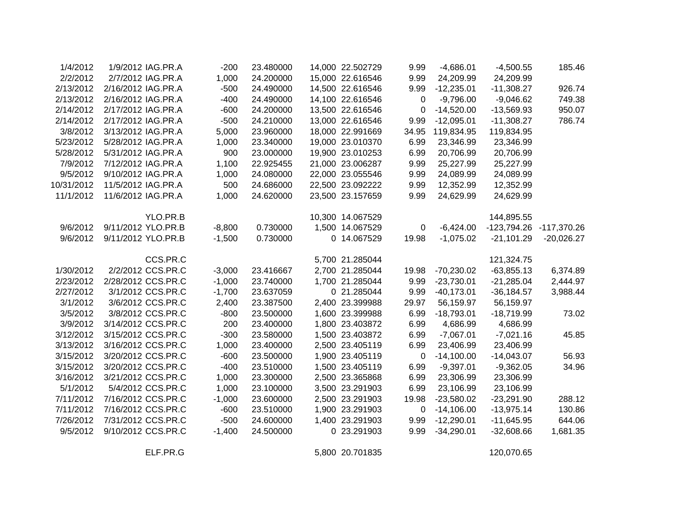| 185.46       | $-4,500.55$             | $-4,686.01$  | 9.99  | 14,000 22.502729 | 23.480000 | $-200$   | 1/9/2012 IAG.PR.A  | 1/4/2012   |
|--------------|-------------------------|--------------|-------|------------------|-----------|----------|--------------------|------------|
|              | 24,209.99               | 24,209.99    | 9.99  | 15,000 22.616546 | 24.200000 | 1,000    | 2/7/2012 IAG.PR.A  | 2/2/2012   |
| 926.74       | $-11,308.27$            | $-12,235.01$ | 9.99  | 14,500 22.616546 | 24.490000 | $-500$   | 2/16/2012 IAG.PR.A | 2/13/2012  |
| 749.38       | $-9,046.62$             | $-9,796.00$  | 0     | 14,100 22.616546 | 24.490000 | $-400$   | 2/16/2012 IAG.PR.A | 2/13/2012  |
| 950.07       | $-13,569.93$            | $-14,520.00$ | 0     | 13,500 22.616546 | 24.200000 | $-600$   | 2/17/2012 IAG.PR.A | 2/14/2012  |
| 786.74       | $-11,308.27$            | $-12,095.01$ | 9.99  | 13,000 22.616546 | 24.210000 | $-500$   | 2/17/2012 IAG.PR.A | 2/14/2012  |
|              | 119,834.95              | 119,834.95   | 34.95 | 18,000 22.991669 | 23.960000 | 5,000    | 3/13/2012 IAG.PR.A | 3/8/2012   |
|              | 23,346.99               | 23,346.99    | 6.99  | 19,000 23.010370 | 23.340000 | 1,000    | 5/28/2012 IAG.PR.A | 5/23/2012  |
|              | 20,706.99               | 20,706.99    | 6.99  | 19,900 23.010253 | 23.000000 | 900      | 5/31/2012 IAG.PR.A | 5/28/2012  |
|              | 25,227.99               | 25,227.99    | 9.99  | 21,000 23.006287 | 22.925455 | 1,100    | 7/12/2012 IAG.PR.A | 7/9/2012   |
|              | 24,089.99               | 24,089.99    | 9.99  | 22,000 23.055546 | 24.080000 | 1,000    | 9/10/2012 IAG.PR.A | 9/5/2012   |
|              | 12,352.99               | 12,352.99    | 9.99  | 22,500 23.092222 | 24.686000 | 500      | 11/5/2012 IAG.PR.A | 10/31/2012 |
|              | 24,629.99               | 24,629.99    | 9.99  | 23,500 23.157659 | 24.620000 | 1,000    | 11/6/2012 IAG.PR.A | 11/1/2012  |
|              | 144,895.55              |              |       | 10,300 14.067529 |           |          | YLO.PR.B           |            |
|              | -123,794.26 -117,370.26 | $-6,424.00$  | 0     | 1,500 14.067529  | 0.730000  | $-8,800$ | 9/11/2012 YLO.PR.B | 9/6/2012   |
| $-20,026.27$ | $-21,101.29$            | $-1,075.02$  | 19.98 | 0 14.067529      | 0.730000  | $-1,500$ | 9/11/2012 YLO.PR.B | 9/6/2012   |
|              | 121,324.75              |              |       | 5,700 21.285044  |           |          | CCS.PR.C           |            |
| 6,374.89     | $-63,855.13$            | $-70,230.02$ | 19.98 | 2,700 21.285044  | 23.416667 | $-3,000$ | 2/2/2012 CCS.PR.C  | 1/30/2012  |
| 2,444.97     | $-21,285.04$            | $-23,730.01$ | 9.99  | 1,700 21.285044  | 23.740000 | $-1,000$ | 2/28/2012 CCS.PR.C | 2/23/2012  |
| 3,988.44     | $-36,184.57$            | $-40,173.01$ | 9.99  | 0 21.285044      | 23.637059 | $-1,700$ | 3/1/2012 CCS.PR.C  | 2/27/2012  |
|              | 56,159.97               | 56,159.97    | 29.97 | 2,400 23.399988  | 23.387500 | 2,400    | 3/6/2012 CCS.PR.C  | 3/1/2012   |
| 73.02        | $-18,719.99$            | $-18,793.01$ | 6.99  | 1,600 23.399988  | 23.500000 | $-800$   | 3/8/2012 CCS.PR.C  | 3/5/2012   |
|              | 4,686.99                | 4,686.99     | 6.99  | 1,800 23.403872  | 23.400000 | 200      | 3/14/2012 CCS.PR.C | 3/9/2012   |
| 45.85        | $-7,021.16$             | $-7,067.01$  | 6.99  | 1,500 23.403872  | 23.580000 | $-300$   | 3/15/2012 CCS.PR.C | 3/12/2012  |
|              | 23,406.99               | 23,406.99    | 6.99  | 2,500 23.405119  | 23.400000 | 1,000    | 3/16/2012 CCS.PR.C | 3/13/2012  |
| 56.93        | $-14,043.07$            | $-14,100.00$ | 0     | 1,900 23.405119  | 23.500000 | $-600$   | 3/20/2012 CCS.PR.C | 3/15/2012  |
| 34.96        | $-9,362.05$             | $-9,397.01$  | 6.99  | 1,500 23.405119  | 23.510000 | $-400$   | 3/20/2012 CCS.PR.C | 3/15/2012  |
|              | 23,306.99               | 23,306.99    | 6.99  | 2,500 23.365868  | 23.300000 | 1,000    | 3/21/2012 CCS.PR.C | 3/16/2012  |
|              | 23,106.99               | 23,106.99    | 6.99  | 3,500 23.291903  | 23.100000 | 1,000    | 5/4/2012 CCS.PR.C  | 5/1/2012   |
| 288.12       | $-23,291.90$            | $-23,580.02$ | 19.98 | 2,500 23.291903  | 23.600000 | $-1,000$ | 7/16/2012 CCS.PR.C | 7/11/2012  |
| 130.86       | $-13,975.14$            | $-14,106.00$ | 0     | 1,900 23.291903  | 23.510000 | $-600$   | 7/16/2012 CCS.PR.C | 7/11/2012  |
| 644.06       | $-11,645.95$            | $-12,290.01$ | 9.99  | 1,400 23.291903  | 24.600000 | $-500$   | 7/31/2012 CCS.PR.C | 7/26/2012  |
| 1,681.35     | $-32,608.66$            | $-34,290.01$ | 9.99  | 0 23.291903      | 24.500000 | $-1,400$ | 9/10/2012 CCS.PR.C | 9/5/2012   |
|              |                         |              |       |                  |           |          |                    |            |

ELF.PR.G 5,800 20.701835 120,070.65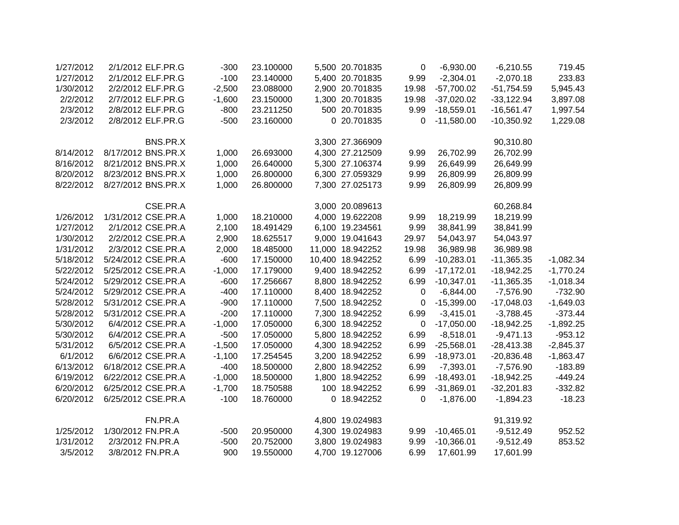| 1/27/2012 | 2/1/2012 ELF.PR.G  | $-300$   | 23.100000 | 5,500 20.701835  | 0        | $-6,930.00$  | $-6,210.55$  | 719.45      |
|-----------|--------------------|----------|-----------|------------------|----------|--------------|--------------|-------------|
| 1/27/2012 | 2/1/2012 ELF.PR.G  | $-100$   | 23.140000 | 5,400 20.701835  | 9.99     | $-2,304.01$  | $-2,070.18$  | 233.83      |
| 1/30/2012 | 2/2/2012 ELF.PR.G  | $-2,500$ | 23.088000 | 2,900 20.701835  | 19.98    | $-57,700.02$ | $-51,754.59$ | 5,945.43    |
| 2/2/2012  | 2/7/2012 ELF.PR.G  | $-1,600$ | 23.150000 | 1,300 20.701835  | 19.98    | $-37,020.02$ | $-33,122.94$ | 3,897.08    |
| 2/3/2012  | 2/8/2012 ELF.PR.G  | $-800$   | 23.211250 | 500 20.701835    | 9.99     | $-18,559.01$ | $-16,561.47$ | 1,997.54    |
| 2/3/2012  | 2/8/2012 ELF.PR.G  | $-500$   | 23.160000 | 0 20.701835      | 0        | $-11,580.00$ | $-10,350.92$ | 1,229.08    |
|           | BNS.PR.X           |          |           | 3,300 27.366909  |          |              | 90,310.80    |             |
| 8/14/2012 | 8/17/2012 BNS.PR.X | 1,000    | 26.693000 | 4,300 27.212509  | 9.99     | 26,702.99    | 26,702.99    |             |
| 8/16/2012 | 8/21/2012 BNS.PR.X | 1,000    | 26.640000 | 5,300 27.106374  | 9.99     | 26,649.99    | 26,649.99    |             |
| 8/20/2012 | 8/23/2012 BNS.PR.X | 1,000    | 26.800000 | 6,300 27.059329  | 9.99     | 26,809.99    | 26,809.99    |             |
| 8/22/2012 | 8/27/2012 BNS.PR.X | 1,000    | 26.800000 | 7,300 27.025173  | 9.99     | 26,809.99    | 26,809.99    |             |
|           | CSE.PR.A           |          |           | 3,000 20.089613  |          |              | 60,268.84    |             |
| 1/26/2012 | 1/31/2012 CSE.PR.A | 1,000    | 18.210000 | 4,000 19.622208  | 9.99     | 18,219.99    | 18,219.99    |             |
| 1/27/2012 | 2/1/2012 CSE.PR.A  | 2,100    | 18.491429 | 6,100 19.234561  | 9.99     | 38,841.99    | 38,841.99    |             |
| 1/30/2012 | 2/2/2012 CSE.PR.A  | 2,900    | 18.625517 | 9,000 19.041643  | 29.97    | 54,043.97    | 54,043.97    |             |
| 1/31/2012 | 2/3/2012 CSE.PR.A  | 2,000    | 18.485000 | 11,000 18.942252 | 19.98    | 36,989.98    | 36,989.98    |             |
| 5/18/2012 | 5/24/2012 CSE.PR.A | $-600$   | 17.150000 | 10,400 18.942252 | 6.99     | $-10,283.01$ | $-11,365.35$ | $-1,082.34$ |
| 5/22/2012 | 5/25/2012 CSE.PR.A | $-1,000$ | 17.179000 | 9,400 18.942252  | 6.99     | $-17,172.01$ | $-18,942.25$ | $-1,770.24$ |
| 5/24/2012 | 5/29/2012 CSE.PR.A | $-600$   | 17.256667 | 8,800 18.942252  | 6.99     | $-10,347.01$ | $-11,365.35$ | $-1,018.34$ |
| 5/24/2012 | 5/29/2012 CSE.PR.A | $-400$   | 17.110000 | 8,400 18.942252  | 0        | $-6,844.00$  | $-7,576.90$  | $-732.90$   |
| 5/28/2012 | 5/31/2012 CSE.PR.A | $-900$   | 17.110000 | 7,500 18.942252  | 0        | $-15,399.00$ | $-17,048.03$ | $-1,649.03$ |
| 5/28/2012 | 5/31/2012 CSE.PR.A | $-200$   | 17.110000 | 7,300 18.942252  | 6.99     | $-3,415.01$  | $-3,788.45$  | $-373.44$   |
| 5/30/2012 | 6/4/2012 CSE.PR.A  | $-1,000$ | 17.050000 | 6,300 18.942252  | $\Omega$ | $-17,050.00$ | $-18,942.25$ | $-1,892.25$ |
| 5/30/2012 | 6/4/2012 CSE.PR.A  | $-500$   | 17.050000 | 5,800 18.942252  | 6.99     | $-8,518.01$  | $-9,471.13$  | $-953.12$   |
| 5/31/2012 | 6/5/2012 CSE.PR.A  | $-1,500$ | 17.050000 | 4,300 18.942252  | 6.99     | $-25,568.01$ | $-28,413.38$ | $-2,845.37$ |
| 6/1/2012  | 6/6/2012 CSE.PR.A  | $-1,100$ | 17.254545 | 3,200 18.942252  | 6.99     | $-18,973.01$ | $-20,836.48$ | $-1,863.47$ |
| 6/13/2012 | 6/18/2012 CSE.PR.A | $-400$   | 18.500000 | 2,800 18.942252  | 6.99     | $-7,393.01$  | $-7,576.90$  | $-183.89$   |
| 6/19/2012 | 6/22/2012 CSE.PR.A | $-1,000$ | 18.500000 | 1,800 18.942252  | 6.99     | $-18,493.01$ | $-18,942.25$ | $-449.24$   |
| 6/20/2012 | 6/25/2012 CSE.PR.A | $-1,700$ | 18.750588 | 100 18.942252    | 6.99     | $-31,869.01$ | $-32,201.83$ | $-332.82$   |
| 6/20/2012 | 6/25/2012 CSE.PR.A | $-100$   | 18.760000 | 0 18.942252      | 0        | $-1,876.00$  | $-1,894.23$  | $-18.23$    |
|           | FN.PR.A            |          |           | 4,800 19.024983  |          |              | 91,319.92    |             |
| 1/25/2012 | 1/30/2012 FN.PR.A  | $-500$   | 20.950000 | 4,300 19.024983  | 9.99     | $-10,465.01$ | $-9,512.49$  | 952.52      |
| 1/31/2012 | 2/3/2012 FN.PR.A   | $-500$   | 20.752000 | 3,800 19.024983  | 9.99     | $-10,366.01$ | $-9,512.49$  | 853.52      |
| 3/5/2012  | 3/8/2012 FN.PR.A   | 900      | 19.550000 | 4,700 19.127006  | 6.99     | 17,601.99    | 17,601.99    |             |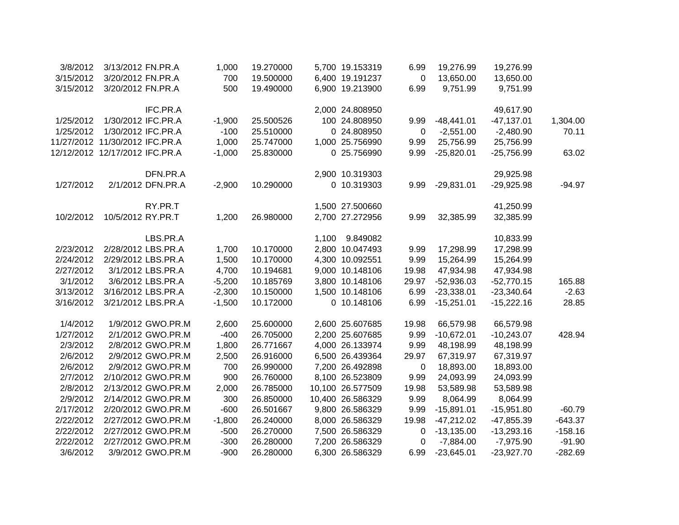| 3/8/2012  | 3/13/2012 FN.PR.A              | 1,000    | 19.270000 |       | 5,700 19.153319  | 6.99  | 19,276.99    | 19,276.99    |           |
|-----------|--------------------------------|----------|-----------|-------|------------------|-------|--------------|--------------|-----------|
| 3/15/2012 | 3/20/2012 FN.PR.A              | 700      | 19.500000 |       | 6,400 19.191237  | 0     | 13,650.00    | 13,650.00    |           |
| 3/15/2012 | 3/20/2012 FN.PR.A              | 500      | 19.490000 |       | 6,900 19.213900  | 6.99  | 9,751.99     | 9,751.99     |           |
|           | IFC.PR.A                       |          |           |       | 2,000 24.808950  |       |              | 49,617.90    |           |
| 1/25/2012 | 1/30/2012 IFC.PR.A             | $-1,900$ | 25.500526 |       | 100 24.808950    | 9.99  | $-48,441.01$ | $-47,137.01$ | 1,304.00  |
| 1/25/2012 | 1/30/2012 IFC.PR.A             | $-100$   | 25.510000 |       | 0 24.808950      | 0     | $-2,551.00$  | $-2,480.90$  | 70.11     |
|           | 11/27/2012 11/30/2012 IFC.PR.A | 1,000    | 25.747000 |       | 1,000 25.756990  | 9.99  | 25,756.99    | 25,756.99    |           |
|           | 12/12/2012 12/17/2012 IFC.PR.A | $-1,000$ | 25.830000 |       | 0 25.756990      | 9.99  | $-25,820.01$ | $-25,756.99$ | 63.02     |
|           |                                | DFN.PR.A |           |       | 2,900 10.319303  |       |              | 29,925.98    |           |
| 1/27/2012 | 2/1/2012 DFN.PR.A              | $-2,900$ | 10.290000 |       | 0 10.319303      | 9.99  | $-29,831.01$ | $-29,925.98$ | $-94.97$  |
|           | RY.PR.T                        |          |           |       | 1,500 27.500660  |       |              | 41,250.99    |           |
| 10/2/2012 | 10/5/2012 RY.PR.T              | 1,200    | 26.980000 |       | 2,700 27.272956  | 9.99  | 32,385.99    | 32,385.99    |           |
|           | LBS.PR.A                       |          |           | 1,100 | 9.849082         |       |              | 10,833.99    |           |
| 2/23/2012 | 2/28/2012 LBS.PR.A             | 1,700    | 10.170000 |       | 2,800 10.047493  | 9.99  | 17,298.99    | 17,298.99    |           |
| 2/24/2012 | 2/29/2012 LBS.PR.A             | 1,500    | 10.170000 |       | 4,300 10.092551  | 9.99  | 15,264.99    | 15,264.99    |           |
| 2/27/2012 | 3/1/2012 LBS.PR.A              | 4,700    | 10.194681 |       | 9,000 10.148106  | 19.98 | 47,934.98    | 47,934.98    |           |
| 3/1/2012  | 3/6/2012 LBS.PR.A              | $-5,200$ | 10.185769 |       | 3,800 10.148106  | 29.97 | $-52,936.03$ | $-52,770.15$ | 165.88    |
| 3/13/2012 | 3/16/2012 LBS.PR.A             | $-2,300$ | 10.150000 |       | 1,500 10.148106  | 6.99  | $-23,338.01$ | $-23,340.64$ | $-2.63$   |
| 3/16/2012 | 3/21/2012 LBS.PR.A             | $-1,500$ | 10.172000 |       | 0 10.148106      | 6.99  | $-15,251.01$ | $-15,222.16$ | 28.85     |
| 1/4/2012  | 1/9/2012 GWO.PR.M              | 2,600    | 25.600000 |       | 2,600 25.607685  | 19.98 | 66,579.98    | 66,579.98    |           |
| 1/27/2012 | 2/1/2012 GWO.PR.M              | $-400$   | 26.705000 |       | 2,200 25.607685  | 9.99  | $-10,672.01$ | $-10,243.07$ | 428.94    |
| 2/3/2012  | 2/8/2012 GWO.PR.M              | 1,800    | 26.771667 |       | 4,000 26.133974  | 9.99  | 48,198.99    | 48,198.99    |           |
| 2/6/2012  | 2/9/2012 GWO.PR.M              | 2,500    | 26.916000 |       | 6,500 26.439364  | 29.97 | 67,319.97    | 67,319.97    |           |
| 2/6/2012  | 2/9/2012 GWO.PR.M              | 700      | 26.990000 |       | 7,200 26.492898  | 0     | 18,893.00    | 18,893.00    |           |
| 2/7/2012  | 2/10/2012 GWO.PR.M             | 900      | 26.760000 |       | 8,100 26.523809  | 9.99  | 24,093.99    | 24,093.99    |           |
| 2/8/2012  | 2/13/2012 GWO.PR.M             | 2,000    | 26.785000 |       | 10,100 26.577509 | 19.98 | 53,589.98    | 53,589.98    |           |
| 2/9/2012  | 2/14/2012 GWO.PR.M             | 300      | 26.850000 |       | 10,400 26.586329 | 9.99  | 8,064.99     | 8,064.99     |           |
| 2/17/2012 | 2/20/2012 GWO.PR.M             | $-600$   | 26.501667 |       | 9,800 26.586329  | 9.99  | $-15,891.01$ | $-15,951.80$ | $-60.79$  |
| 2/22/2012 | 2/27/2012 GWO.PR.M             | $-1,800$ | 26.240000 |       | 8,000 26.586329  | 19.98 | $-47,212.02$ | $-47,855.39$ | $-643.37$ |
| 2/22/2012 | 2/27/2012 GWO.PR.M             | $-500$   | 26.270000 |       | 7,500 26.586329  | 0     | $-13,135.00$ | $-13,293.16$ | $-158.16$ |
| 2/22/2012 | 2/27/2012 GWO.PR.M             | $-300$   | 26.280000 |       | 7,200 26.586329  | 0     | $-7,884.00$  | $-7,975.90$  | $-91.90$  |
| 3/6/2012  | 3/9/2012 GWO.PR.M              | $-900$   | 26.280000 |       | 6,300 26.586329  | 6.99  | $-23,645.01$ | $-23,927.70$ | $-282.69$ |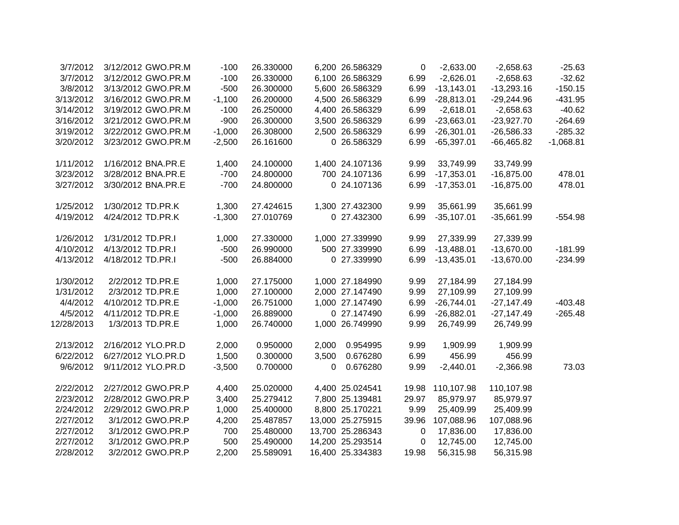| 3/7/2012               | 3/12/2012 GWO.PR.M                     | $-100$   | 26.330000 |       | 6,200 26.586329                    | 0         | $-2,633.00$  | $-2,658.63$  | $-25.63$    |
|------------------------|----------------------------------------|----------|-----------|-------|------------------------------------|-----------|--------------|--------------|-------------|
| 3/7/2012               | 3/12/2012 GWO.PR.M                     | $-100$   | 26.330000 |       | 6,100 26.586329                    | 6.99      | $-2,626.01$  | $-2,658.63$  | $-32.62$    |
| 3/8/2012               | 3/13/2012 GWO.PR.M                     | $-500$   | 26.300000 |       | 5,600 26.586329                    | 6.99      | $-13,143.01$ | $-13,293.16$ | $-150.15$   |
| 3/13/2012              | 3/16/2012 GWO.PR.M                     | $-1,100$ | 26.200000 |       | 4,500 26.586329                    | 6.99      | $-28,813.01$ | $-29,244.96$ | $-431.95$   |
| 3/14/2012              | 3/19/2012 GWO.PR.M                     | $-100$   | 26.250000 |       | 4,400 26.586329                    | 6.99      | $-2,618.01$  | $-2,658.63$  | $-40.62$    |
| 3/16/2012              | 3/21/2012 GWO.PR.M                     | $-900$   | 26.300000 |       | 3,500 26.586329                    | 6.99      | $-23,663.01$ | $-23,927.70$ | $-264.69$   |
| 3/19/2012              | 3/22/2012 GWO.PR.M                     | $-1,000$ | 26.308000 |       | 2,500 26.586329                    | 6.99      | $-26,301.01$ | $-26,586.33$ | $-285.32$   |
| 3/20/2012              | 3/23/2012 GWO.PR.M                     | $-2,500$ | 26.161600 |       | 0 26.586329                        | 6.99      | $-65,397.01$ | $-66,465.82$ | $-1,068.81$ |
|                        |                                        |          |           |       |                                    |           |              |              |             |
| 1/11/2012              | 1/16/2012 BNA.PR.E                     | 1,400    | 24.100000 |       | 1,400 24.107136                    | 9.99      | 33,749.99    | 33,749.99    |             |
| 3/23/2012              | 3/28/2012 BNA.PR.E                     | $-700$   | 24.800000 |       | 700 24.107136                      | 6.99      | $-17,353.01$ | $-16,875.00$ | 478.01      |
| 3/27/2012              | 3/30/2012 BNA.PR.E                     | $-700$   | 24.800000 |       | 0 24.107136                        | 6.99      | $-17,353.01$ | $-16,875.00$ | 478.01      |
|                        |                                        |          |           |       |                                    |           |              |              |             |
| 1/25/2012              | 1/30/2012 TD.PR.K                      | 1,300    | 27.424615 |       | 1,300 27.432300                    | 9.99      | 35,661.99    | 35,661.99    |             |
| 4/19/2012              | 4/24/2012 TD.PR.K                      | $-1,300$ | 27.010769 |       | 0 27.432300                        | 6.99      | $-35,107.01$ | $-35,661.99$ | $-554.98$   |
| 1/26/2012              | 1/31/2012 TD.PR.I                      | 1,000    | 27.330000 |       | 1,000 27.339990                    | 9.99      | 27,339.99    | 27,339.99    |             |
| 4/10/2012              | 4/13/2012 TD.PR.I                      | $-500$   | 26.990000 |       | 500 27.339990                      | 6.99      | $-13,488.01$ | $-13,670.00$ | $-181.99$   |
| 4/13/2012              | 4/18/2012 TD.PR.I                      | $-500$   | 26.884000 |       | 0 27.339990                        | 6.99      | $-13,435.01$ | $-13,670.00$ | $-234.99$   |
|                        |                                        |          |           |       |                                    |           |              |              |             |
| 1/30/2012              | 2/2/2012 TD.PR.E                       | 1,000    | 27.175000 |       | 1,000 27.184990                    | 9.99      | 27,184.99    | 27,184.99    |             |
| 1/31/2012              | 2/3/2012 TD.PR.E                       | 1,000    | 27.100000 |       | 2,000 27.147490                    | 9.99      | 27,109.99    | 27,109.99    |             |
| 4/4/2012               | 4/10/2012 TD.PR.E                      | $-1,000$ | 26.751000 |       | 1,000 27.147490                    | 6.99      | $-26,744.01$ | $-27,147.49$ | $-403.48$   |
| 4/5/2012               | 4/11/2012 TD.PR.E                      | $-1,000$ | 26.889000 |       | 0 27.147490                        | 6.99      | $-26,882.01$ | $-27,147.49$ | $-265.48$   |
| 12/28/2013             | 1/3/2013 TD.PR.E                       | 1,000    | 26.740000 |       | 1,000 26.749990                    | 9.99      | 26,749.99    | 26,749.99    |             |
|                        |                                        |          |           |       |                                    |           |              |              |             |
| 2/13/2012              | 2/16/2012 YLO.PR.D                     | 2,000    | 0.950000  | 2,000 | 0.954995                           | 9.99      | 1,909.99     | 1,909.99     |             |
| 6/22/2012              | 6/27/2012 YLO.PR.D                     | 1,500    | 0.300000  | 3,500 | 0.676280                           | 6.99      | 456.99       | 456.99       |             |
| 9/6/2012               | 9/11/2012 YLO.PR.D                     | $-3,500$ | 0.700000  | 0     | 0.676280                           | 9.99      | $-2,440.01$  | $-2,366.98$  | 73.03       |
|                        | 2/27/2012 GWO.PR.P                     |          |           |       |                                    |           |              |              |             |
| 2/22/2012              |                                        | 4,400    | 25.020000 |       | 4,400 25.024541<br>7,800 25.139481 | 19.98     | 110,107.98   | 110,107.98   |             |
| 2/23/2012              | 2/28/2012 GWO.PR.P                     | 3,400    | 25.279412 |       |                                    | 29.97     | 85,979.97    | 85,979.97    |             |
| 2/24/2012              | 2/29/2012 GWO.PR.P                     | 1,000    | 25.400000 |       | 8,800 25.170221                    | 9.99      | 25,409.99    | 25,409.99    |             |
| 2/27/2012<br>2/27/2012 | 3/1/2012 GWO.PR.P<br>3/1/2012 GWO.PR.P | 4,200    | 25.487857 |       | 13,000 25.275915                   | 39.96     | 107,088.96   | 107,088.96   |             |
|                        |                                        | 700      | 25.480000 |       | 13,700 25.286343                   | $\pmb{0}$ | 17,836.00    | 17,836.00    |             |
| 2/27/2012              | 3/1/2012 GWO.PR.P                      | 500      | 25.490000 |       | 14,200 25.293514                   | 0         | 12,745.00    | 12,745.00    |             |
| 2/28/2012              | 3/2/2012 GWO.PR.P                      | 2,200    | 25.589091 |       | 16,400 25.334383                   | 19.98     | 56,315.98    | 56,315.98    |             |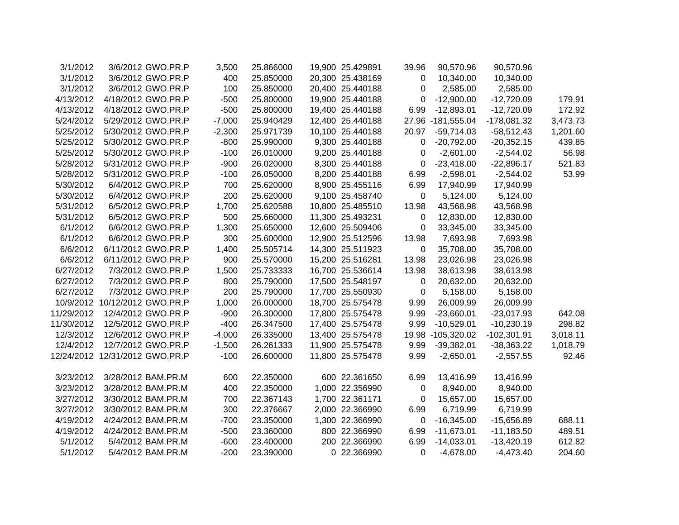| 3/1/2012   | 3/6/2012 GWO.PR.P              | 3,500    | 25.866000 | 19,900 25.429891 | 39.96       | 90,570.96         | 90,570.96     |          |
|------------|--------------------------------|----------|-----------|------------------|-------------|-------------------|---------------|----------|
| 3/1/2012   | 3/6/2012 GWO.PR.P              | 400      | 25.850000 | 20,300 25.438169 | $\mathbf 0$ | 10,340.00         | 10,340.00     |          |
| 3/1/2012   | 3/6/2012 GWO.PR.P              | 100      | 25.850000 | 20,400 25.440188 | 0           | 2,585.00          | 2,585.00      |          |
| 4/13/2012  | 4/18/2012 GWO.PR.P             | $-500$   | 25.800000 | 19,900 25.440188 | 0           | $-12,900.00$      | $-12,720.09$  | 179.91   |
| 4/13/2012  | 4/18/2012 GWO.PR.P             | $-500$   | 25.800000 | 19,400 25.440188 | 6.99        | $-12,893.01$      | $-12,720.09$  | 172.92   |
| 5/24/2012  | 5/29/2012 GWO.PR.P             | $-7,000$ | 25.940429 | 12,400 25.440188 |             | 27.96 -181,555.04 | $-178,081.32$ | 3,473.73 |
| 5/25/2012  | 5/30/2012 GWO.PR.P             | $-2,300$ | 25.971739 | 10,100 25.440188 | 20.97       | $-59,714.03$      | $-58,512.43$  | 1,201.60 |
| 5/25/2012  | 5/30/2012 GWO.PR.P             | $-800$   | 25.990000 | 9,300 25.440188  | 0           | $-20,792.00$      | $-20,352.15$  | 439.85   |
| 5/25/2012  | 5/30/2012 GWO.PR.P             | $-100$   | 26.010000 | 9,200 25.440188  | 0           | $-2,601.00$       | $-2,544.02$   | 56.98    |
| 5/28/2012  | 5/31/2012 GWO.PR.P             | $-900$   | 26.020000 | 8,300 25.440188  | 0           | $-23,418.00$      | $-22,896.17$  | 521.83   |
| 5/28/2012  | 5/31/2012 GWO.PR.P             | $-100$   | 26.050000 | 8,200 25.440188  | 6.99        | $-2,598.01$       | $-2,544.02$   | 53.99    |
| 5/30/2012  | 6/4/2012 GWO.PR.P              | 700      | 25.620000 | 8,900 25.455116  | 6.99        | 17,940.99         | 17,940.99     |          |
| 5/30/2012  | 6/4/2012 GWO.PR.P              | 200      | 25.620000 | 9,100 25.458740  | $\mathbf 0$ | 5,124.00          | 5,124.00      |          |
| 5/31/2012  | 6/5/2012 GWO.PR.P              | 1,700    | 25.620588 | 10,800 25.485510 | 13.98       | 43,568.98         | 43,568.98     |          |
| 5/31/2012  | 6/5/2012 GWO.PR.P              | 500      | 25.660000 | 11,300 25.493231 | 0           | 12,830.00         | 12,830.00     |          |
| 6/1/2012   | 6/6/2012 GWO.PR.P              | 1,300    | 25.650000 | 12,600 25.509406 | 0           | 33,345.00         | 33,345.00     |          |
| 6/1/2012   | 6/6/2012 GWO.PR.P              | 300      | 25.600000 | 12,900 25.512596 | 13.98       | 7,693.98          | 7,693.98      |          |
| 6/6/2012   | 6/11/2012 GWO.PR.P             | 1,400    | 25.505714 | 14,300 25.511923 | $\mathbf 0$ | 35,708.00         | 35,708.00     |          |
| 6/6/2012   | 6/11/2012 GWO.PR.P             | 900      | 25.570000 | 15,200 25.516281 | 13.98       | 23,026.98         | 23,026.98     |          |
| 6/27/2012  | 7/3/2012 GWO.PR.P              | 1,500    | 25.733333 | 16,700 25.536614 | 13.98       | 38,613.98         | 38,613.98     |          |
| 6/27/2012  | 7/3/2012 GWO.PR.P              | 800      | 25.790000 | 17,500 25.548197 | $\mathbf 0$ | 20,632.00         | 20,632.00     |          |
| 6/27/2012  | 7/3/2012 GWO.PR.P              | 200      | 25.790000 | 17,700 25.550930 | $\mathbf 0$ | 5,158.00          | 5,158.00      |          |
|            | 10/9/2012 10/12/2012 GWO.PR.P  | 1,000    | 26.000000 | 18,700 25.575478 | 9.99        | 26,009.99         | 26,009.99     |          |
| 11/29/2012 | 12/4/2012 GWO.PR.P             | $-900$   | 26.300000 | 17,800 25.575478 | 9.99        | $-23,660.01$      | $-23,017.93$  | 642.08   |
| 11/30/2012 | 12/5/2012 GWO.PR.P             | $-400$   | 26.347500 | 17,400 25.575478 | 9.99        | $-10,529.01$      | $-10,230.19$  | 298.82   |
| 12/3/2012  | 12/6/2012 GWO.PR.P             | $-4,000$ | 26.335000 | 13,400 25.575478 |             | 19.98 -105,320.02 | $-102,301.91$ | 3,018.11 |
| 12/4/2012  | 12/7/2012 GWO.PR.P             | $-1,500$ | 26.261333 | 11,900 25.575478 | 9.99        | $-39,382.01$      | $-38,363.22$  | 1,018.79 |
|            | 12/24/2012 12/31/2012 GWO.PR.P | $-100$   | 26.600000 | 11,800 25.575478 | 9.99        | $-2,650.01$       | $-2,557.55$   | 92.46    |
|            |                                |          |           |                  |             |                   |               |          |
| 3/23/2012  | 3/28/2012 BAM.PR.M             | 600      | 22.350000 | 600 22.361650    | 6.99        | 13,416.99         | 13,416.99     |          |
| 3/23/2012  | 3/28/2012 BAM.PR.M             | 400      | 22.350000 | 1,000 22.356990  | 0           | 8,940.00          | 8,940.00      |          |
| 3/27/2012  | 3/30/2012 BAM.PR.M             | 700      | 22.367143 | 1,700 22.361171  | 0           | 15,657.00         | 15,657.00     |          |
| 3/27/2012  | 3/30/2012 BAM.PR.M             | 300      | 22.376667 | 2,000 22.366990  | 6.99        | 6,719.99          | 6,719.99      |          |
| 4/19/2012  | 4/24/2012 BAM.PR.M             | $-700$   | 23.350000 | 1,300 22.366990  | 0           | $-16,345.00$      | $-15,656.89$  | 688.11   |
| 4/19/2012  | 4/24/2012 BAM.PR.M             | $-500$   | 23.360000 | 800 22.366990    | 6.99        | $-11,673.01$      | $-11,183.50$  | 489.51   |
| 5/1/2012   | 5/4/2012 BAM.PR.M              | $-600$   | 23.400000 | 200 22.366990    | 6.99        | $-14,033.01$      | $-13,420.19$  | 612.82   |
| 5/1/2012   | 5/4/2012 BAM.PR.M              | $-200$   | 23.390000 | 0 22.366990      | $\Omega$    | $-4,678.00$       | $-4,473.40$   | 204.60   |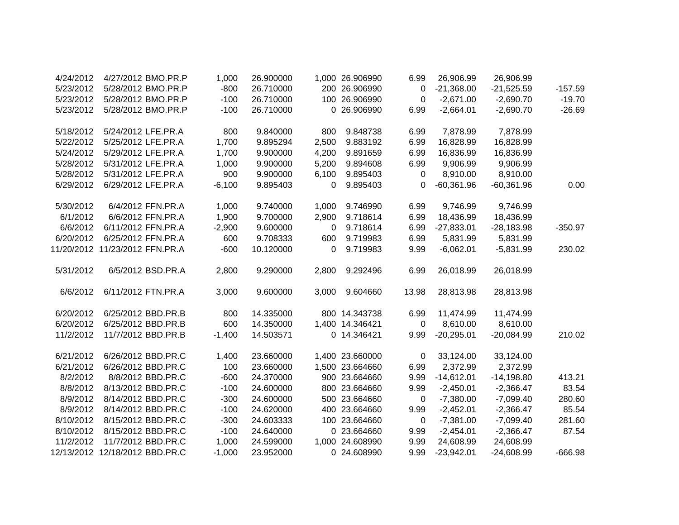| 4/24/2012 | 4/27/2012 BMO.PR.P             | 1,000    | 26.900000 |          | 1,000 26.906990 | 6.99        | 26,906.99    | 26,906.99    |           |
|-----------|--------------------------------|----------|-----------|----------|-----------------|-------------|--------------|--------------|-----------|
| 5/23/2012 | 5/28/2012 BMO.PR.P             | $-800$   | 26.710000 |          | 200 26.906990   | 0           | $-21,368.00$ | $-21,525.59$ | $-157.59$ |
| 5/23/2012 | 5/28/2012 BMO.PR.P             | $-100$   | 26.710000 |          | 100 26.906990   | 0           | $-2,671.00$  | $-2,690.70$  | $-19.70$  |
| 5/23/2012 | 5/28/2012 BMO.PR.P             | $-100$   | 26.710000 |          | 0 26.906990     | 6.99        | $-2,664.01$  | $-2,690.70$  | $-26.69$  |
|           |                                |          |           |          |                 |             |              |              |           |
| 5/18/2012 | 5/24/2012 LFE.PR.A             | 800      | 9.840000  | 800      | 9.848738        | 6.99        | 7,878.99     | 7,878.99     |           |
| 5/22/2012 | 5/25/2012 LFE.PR.A             | 1,700    | 9.895294  | 2,500    | 9.883192        | 6.99        | 16,828.99    | 16,828.99    |           |
| 5/24/2012 | 5/29/2012 LFE.PR.A             | 1,700    | 9.900000  | 4,200    | 9.891659        | 6.99        | 16,836.99    | 16,836.99    |           |
| 5/28/2012 | 5/31/2012 LFE.PR.A             | 1,000    | 9.900000  | 5,200    | 9.894608        | 6.99        | 9,906.99     | 9,906.99     |           |
| 5/28/2012 | 5/31/2012 LFE.PR.A             | 900      | 9.900000  | 6,100    | 9.895403        | 0           | 8,910.00     | 8,910.00     |           |
| 6/29/2012 | 6/29/2012 LFE.PR.A             | $-6,100$ | 9.895403  | $\Omega$ | 9.895403        | 0           | $-60,361.96$ | $-60,361.96$ | 0.00      |
|           |                                |          |           |          |                 |             |              |              |           |
| 5/30/2012 | 6/4/2012 FFN.PR.A              | 1,000    | 9.740000  | 1,000    | 9.746990        | 6.99        | 9,746.99     | 9,746.99     |           |
| 6/1/2012  | 6/6/2012 FFN.PR.A              | 1,900    | 9.700000  | 2,900    | 9.718614        | 6.99        | 18,436.99    | 18,436.99    |           |
| 6/6/2012  | 6/11/2012 FFN.PR.A             | $-2,900$ | 9.600000  | 0        | 9.718614        | 6.99        | $-27,833.01$ | $-28,183.98$ | $-350.97$ |
| 6/20/2012 | 6/25/2012 FFN.PR.A             | 600      | 9.708333  | 600      | 9.719983        | 6.99        | 5,831.99     | 5,831.99     |           |
|           | 11/20/2012 11/23/2012 FFN.PR.A | $-600$   | 10.120000 | 0        | 9.719983        | 9.99        | $-6,062.01$  | $-5,831.99$  | 230.02    |
| 5/31/2012 | 6/5/2012 BSD.PR.A              | 2,800    | 9.290000  |          |                 |             | 26,018.99    | 26,018.99    |           |
|           |                                |          |           | 2,800    | 9.292496        | 6.99        |              |              |           |
| 6/6/2012  | 6/11/2012 FTN.PR.A             | 3,000    | 9.600000  | 3,000    | 9.604660        | 13.98       | 28,813.98    | 28,813.98    |           |
|           |                                |          |           |          |                 |             |              |              |           |
| 6/20/2012 | 6/25/2012 BBD.PR.B             | 800      | 14.335000 |          | 800 14.343738   | 6.99        | 11,474.99    | 11,474.99    |           |
| 6/20/2012 | 6/25/2012 BBD.PR.B             | 600      | 14.350000 |          | 1,400 14.346421 | 0           | 8,610.00     | 8,610.00     |           |
| 11/2/2012 | 11/7/2012 BBD.PR.B             | $-1,400$ | 14.503571 |          | 0 14.346421     | 9.99        | $-20,295.01$ | $-20,084.99$ | 210.02    |
|           |                                |          |           |          |                 |             |              |              |           |
| 6/21/2012 | 6/26/2012 BBD.PR.C             | 1,400    | 23.660000 |          | 1,400 23.660000 | 0           | 33,124.00    | 33,124.00    |           |
| 6/21/2012 | 6/26/2012 BBD.PR.C             | 100      | 23.660000 |          | 1,500 23.664660 | 6.99        | 2,372.99     | 2,372.99     |           |
| 8/2/2012  | 8/8/2012 BBD.PR.C              | $-600$   | 24.370000 |          | 900 23.664660   | 9.99        | $-14,612.01$ | $-14,198.80$ | 413.21    |
| 8/8/2012  | 8/13/2012 BBD.PR.C             | $-100$   | 24.600000 |          | 800 23.664660   | 9.99        | $-2,450.01$  | $-2,366.47$  | 83.54     |
| 8/9/2012  | 8/14/2012 BBD.PR.C             | $-300$   | 24.600000 |          | 500 23.664660   | 0           | $-7,380.00$  | $-7,099.40$  | 280.60    |
| 8/9/2012  | 8/14/2012 BBD.PR.C             | $-100$   | 24.620000 |          | 400 23.664660   | 9.99        | $-2,452.01$  | $-2,366.47$  | 85.54     |
| 8/10/2012 | 8/15/2012 BBD.PR.C             | $-300$   | 24.603333 |          | 100 23.664660   | $\mathbf 0$ | $-7,381.00$  | $-7,099.40$  | 281.60    |
| 8/10/2012 | 8/15/2012 BBD.PR.C             | $-100$   | 24.640000 |          | 0 23.664660     | 9.99        | $-2,454.01$  | $-2,366.47$  | 87.54     |
| 11/2/2012 | 11/7/2012 BBD.PR.C             | 1,000    | 24.599000 |          | 1,000 24.608990 | 9.99        | 24,608.99    | 24,608.99    |           |
|           | 12/13/2012 12/18/2012 BBD.PR.C | $-1,000$ | 23.952000 |          | 0 24.608990     | 9.99        | $-23,942.01$ | $-24,608.99$ | $-666.98$ |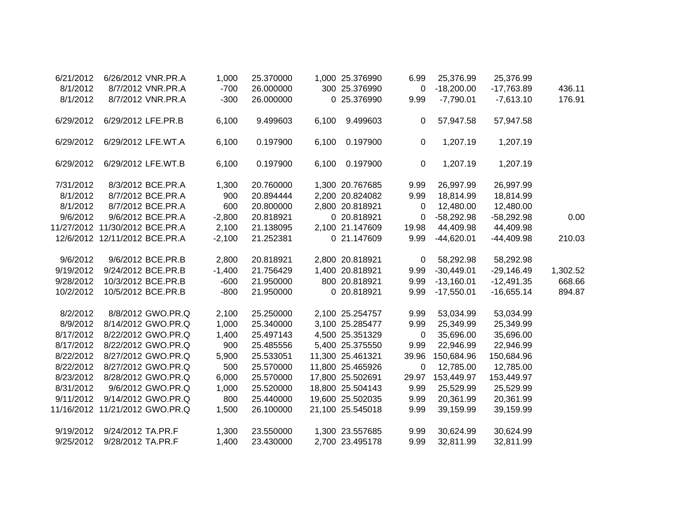| 6/21/2012 |                                | 6/26/2012 VNR.PR.A             | 1,000    | 25.370000 |       | 1,000 25.376990  | 6.99        | 25,376.99    | 25,376.99    |          |
|-----------|--------------------------------|--------------------------------|----------|-----------|-------|------------------|-------------|--------------|--------------|----------|
| 8/1/2012  |                                | 8/7/2012 VNR.PR.A              | $-700$   | 26.000000 |       | 300 25.376990    | $\mathbf 0$ | $-18,200.00$ | $-17,763.89$ | 436.11   |
| 8/1/2012  |                                | 8/7/2012 VNR.PR.A              | $-300$   | 26.000000 |       | 0 25.376990      | 9.99        | $-7,790.01$  | $-7,613.10$  | 176.91   |
| 6/29/2012 | 6/29/2012 LFE.PR.B             |                                | 6,100    | 9.499603  | 6,100 | 9.499603         | 0           | 57,947.58    | 57,947.58    |          |
| 6/29/2012 |                                | 6/29/2012 LFE.WT.A             | 6,100    | 0.197900  | 6,100 | 0.197900         | $\mathbf 0$ | 1,207.19     | 1,207.19     |          |
| 6/29/2012 |                                | 6/29/2012 LFE.WT.B             | 6,100    | 0.197900  | 6,100 | 0.197900         | $\mathbf 0$ | 1,207.19     | 1,207.19     |          |
| 7/31/2012 |                                | 8/3/2012 BCE.PR.A              | 1,300    | 20.760000 |       | 1,300 20.767685  | 9.99        | 26,997.99    | 26,997.99    |          |
| 8/1/2012  |                                | 8/7/2012 BCE.PR.A              | 900      | 20.894444 |       | 2,200 20.824082  | 9.99        | 18,814.99    | 18,814.99    |          |
| 8/1/2012  |                                | 8/7/2012 BCE.PR.A              | 600      | 20.800000 |       | 2,800 20.818921  | 0           | 12,480.00    | 12,480.00    |          |
| 9/6/2012  |                                | 9/6/2012 BCE.PR.A              | $-2,800$ | 20.818921 |       | 0 20.818921      | 0           | $-58,292.98$ | $-58,292.98$ | 0.00     |
|           | 11/27/2012 11/30/2012 BCE.PR.A |                                | 2,100    | 21.138095 |       | 2,100 21.147609  | 19.98       | 44,409.98    | 44,409.98    |          |
|           | 12/6/2012 12/11/2012 BCE.PR.A  |                                | $-2,100$ | 21.252381 |       | 0 21.147609      | 9.99        | $-44,620.01$ | $-44,409.98$ | 210.03   |
| 9/6/2012  |                                | 9/6/2012 BCE.PR.B              | 2,800    | 20.818921 |       | 2,800 20.818921  | $\mathbf 0$ | 58,292.98    | 58,292.98    |          |
| 9/19/2012 |                                | 9/24/2012 BCE.PR.B             | $-1,400$ | 21.756429 |       | 1,400 20.818921  | 9.99        | $-30,449.01$ | $-29,146.49$ | 1,302.52 |
| 9/28/2012 |                                | 10/3/2012 BCE.PR.B             | $-600$   | 21.950000 |       | 800 20.818921    | 9.99        | $-13,160.01$ | $-12,491.35$ | 668.66   |
| 10/2/2012 |                                | 10/5/2012 BCE.PR.B             | $-800$   | 21.950000 |       | 0 20.818921      | 9.99        | $-17,550.01$ | $-16,655.14$ | 894.87   |
| 8/2/2012  |                                | 8/8/2012 GWO.PR.Q              | 2,100    | 25.250000 |       | 2,100 25.254757  | 9.99        | 53,034.99    | 53,034.99    |          |
| 8/9/2012  |                                | 8/14/2012 GWO.PR.Q             | 1,000    | 25.340000 |       | 3,100 25.285477  | 9.99        | 25,349.99    | 25,349.99    |          |
| 8/17/2012 |                                | 8/22/2012 GWO.PR.Q             | 1,400    | 25.497143 |       | 4,500 25.351329  | 0           | 35,696.00    | 35,696.00    |          |
| 8/17/2012 |                                | 8/22/2012 GWO.PR.Q             | 900      | 25.485556 |       | 5,400 25.375550  | 9.99        | 22,946.99    | 22,946.99    |          |
| 8/22/2012 |                                | 8/27/2012 GWO.PR.Q             | 5,900    | 25.533051 |       | 11,300 25.461321 | 39.96       | 150,684.96   | 150,684.96   |          |
| 8/22/2012 |                                | 8/27/2012 GWO.PR.Q             | 500      | 25.570000 |       | 11,800 25.465926 | $\mathbf 0$ | 12,785.00    | 12,785.00    |          |
| 8/23/2012 |                                | 8/28/2012 GWO.PR.Q             | 6,000    | 25.570000 |       | 17,800 25.502691 | 29.97       | 153,449.97   | 153,449.97   |          |
| 8/31/2012 |                                | 9/6/2012 GWO.PR.Q              | 1,000    | 25.520000 |       | 18,800 25.504143 | 9.99        | 25,529.99    | 25,529.99    |          |
| 9/11/2012 |                                | 9/14/2012 GWO.PR.Q             | 800      | 25.440000 |       | 19,600 25.502035 | 9.99        | 20,361.99    | 20,361.99    |          |
|           |                                | 11/16/2012 11/21/2012 GWO.PR.Q | 1,500    | 26.100000 |       | 21,100 25.545018 | 9.99        | 39,159.99    | 39,159.99    |          |
| 9/19/2012 | 9/24/2012 TA.PR.F              |                                | 1,300    | 23.550000 |       | 1,300 23.557685  | 9.99        | 30,624.99    | 30,624.99    |          |
| 9/25/2012 | 9/28/2012 TA.PR.F              |                                | 1,400    | 23.430000 |       | 2,700 23.495178  | 9.99        | 32,811.99    | 32,811.99    |          |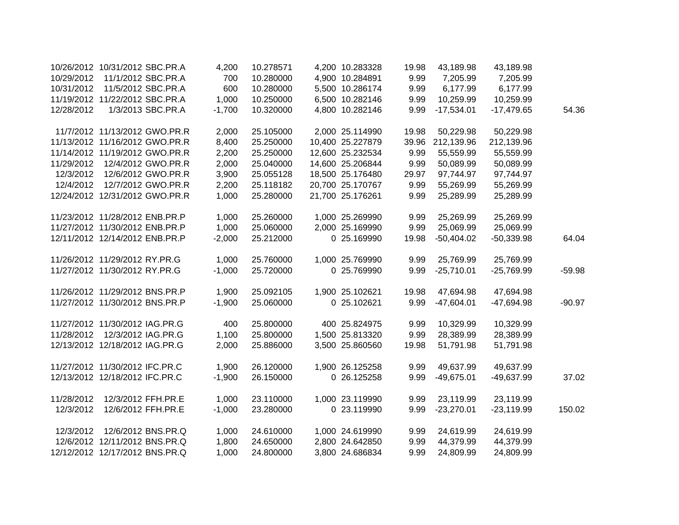|            | 10/26/2012 10/31/2012 SBC.PR.A | 4,200    | 10.278571 | 4,200 10.283328  | 19.98 | 43,189.98    | 43,189.98    |          |
|------------|--------------------------------|----------|-----------|------------------|-------|--------------|--------------|----------|
| 10/29/2012 | 11/1/2012 SBC.PR.A             | 700      | 10.280000 | 4,900 10.284891  | 9.99  | 7,205.99     | 7,205.99     |          |
| 10/31/2012 | 11/5/2012 SBC.PR.A             | 600      | 10.280000 | 5,500 10.286174  | 9.99  | 6,177.99     | 6,177.99     |          |
|            | 11/19/2012 11/22/2012 SBC.PR.A | 1,000    | 10.250000 | 6,500 10.282146  | 9.99  | 10,259.99    | 10,259.99    |          |
| 12/28/2012 | 1/3/2013 SBC.PR.A              | $-1,700$ | 10.320000 | 4,800 10.282146  | 9.99  | $-17,534.01$ | $-17,479.65$ | 54.36    |
|            | 11/7/2012 11/13/2012 GWO.PR.R  | 2,000    | 25.105000 | 2,000 25.114990  | 19.98 | 50,229.98    | 50,229.98    |          |
|            | 11/13/2012 11/16/2012 GWO.PR.R | 8,400    | 25.250000 | 10,400 25.227879 | 39.96 | 212,139.96   | 212,139.96   |          |
|            | 11/14/2012 11/19/2012 GWO.PR.R | 2,200    | 25.250000 | 12,600 25.232534 | 9.99  | 55,559.99    | 55,559.99    |          |
| 11/29/2012 | 12/4/2012 GWO.PR.R             | 2,000    | 25.040000 | 14,600 25.206844 | 9.99  | 50,089.99    | 50,089.99    |          |
| 12/3/2012  | 12/6/2012 GWO.PR.R             | 3,900    | 25.055128 | 18,500 25.176480 | 29.97 | 97,744.97    | 97,744.97    |          |
| 12/4/2012  | 12/7/2012 GWO.PR.R             | 2,200    | 25.118182 | 20,700 25.170767 | 9.99  | 55,269.99    | 55,269.99    |          |
|            | 12/24/2012 12/31/2012 GWO.PR.R | 1,000    | 25.280000 | 21,700 25.176261 | 9.99  | 25,289.99    | 25,289.99    |          |
|            | 11/23/2012 11/28/2012 ENB.PR.P | 1,000    | 25.260000 | 1,000 25.269990  | 9.99  | 25,269.99    | 25,269.99    |          |
|            | 11/27/2012 11/30/2012 ENB.PR.P | 1,000    | 25.060000 | 2,000 25.169990  | 9.99  | 25,069.99    | 25,069.99    |          |
|            | 12/11/2012 12/14/2012 ENB.PR.P | $-2,000$ | 25.212000 | 0 25.169990      | 19.98 | $-50,404.02$ | $-50,339.98$ | 64.04    |
|            | 11/26/2012 11/29/2012 RY.PR.G  | 1,000    | 25.760000 | 1,000 25.769990  | 9.99  | 25,769.99    | 25,769.99    |          |
|            | 11/27/2012 11/30/2012 RY.PR.G  | $-1,000$ | 25.720000 | 0 25.769990      | 9.99  | $-25,710.01$ | $-25,769.99$ | $-59.98$ |
|            | 11/26/2012 11/29/2012 BNS.PR.P | 1,900    | 25.092105 | 1,900 25.102621  | 19.98 | 47,694.98    | 47,694.98    |          |
|            | 11/27/2012 11/30/2012 BNS.PR.P | $-1,900$ | 25.060000 | 0 25.102621      | 9.99  | $-47,604.01$ | $-47,694.98$ | $-90.97$ |
|            | 11/27/2012 11/30/2012 IAG.PR.G | 400      | 25.800000 | 400 25.824975    | 9.99  | 10,329.99    | 10,329.99    |          |
| 11/28/2012 | 12/3/2012 IAG.PR.G             | 1,100    | 25.800000 | 1,500 25.813320  | 9.99  | 28,389.99    | 28,389.99    |          |
|            | 12/13/2012 12/18/2012 IAG.PR.G | 2,000    | 25.886000 | 3,500 25.860560  | 19.98 | 51,791.98    | 51,791.98    |          |
|            | 11/27/2012 11/30/2012 IFC.PR.C | 1,900    | 26.120000 | 1,900 26.125258  | 9.99  | 49,637.99    | 49,637.99    |          |
|            | 12/13/2012 12/18/2012 IFC.PR.C | $-1,900$ | 26.150000 | 0 26.125258      | 9.99  | $-49,675.01$ | -49,637.99   | 37.02    |
| 11/28/2012 | 12/3/2012 FFH.PR.E             | 1,000    | 23.110000 | 1,000 23.119990  | 9.99  | 23,119.99    | 23,119.99    |          |
| 12/3/2012  | 12/6/2012 FFH.PR.E             | $-1,000$ | 23.280000 | 0 23.119990      | 9.99  | $-23,270.01$ | $-23,119.99$ | 150.02   |
| 12/3/2012  | 12/6/2012 BNS.PR.Q             | 1,000    | 24.610000 | 1,000 24.619990  | 9.99  | 24,619.99    | 24,619.99    |          |
|            | 12/6/2012 12/11/2012 BNS.PR.Q  | 1,800    | 24.650000 | 2,800 24.642850  | 9.99  | 44,379.99    | 44,379.99    |          |
|            | 12/12/2012 12/17/2012 BNS.PR.Q | 1,000    | 24.800000 | 3,800 24.686834  | 9.99  | 24,809.99    | 24,809.99    |          |